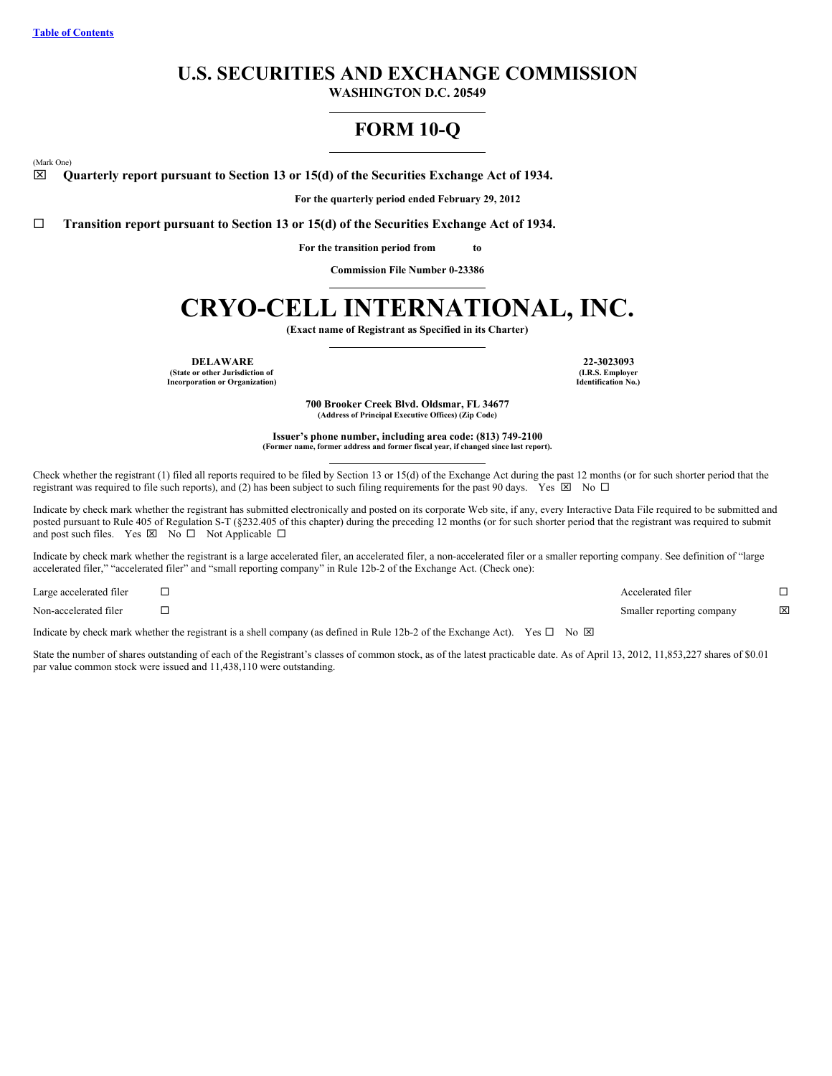# **U.S. SECURITIES AND EXCHANGE COMMISSION**

**WASHINGTON D.C. 20549**

# **FORM 10-Q**

<span id="page-0-0"></span>(Mark One)

x **Quarterly report pursuant to Section 13 or 15(d) of the Securities Exchange Act of 1934.**

**For the quarterly period ended February 29, 2012**

¨ **Transition report pursuant to Section 13 or 15(d) of the Securities Exchange Act of 1934.**

**For the transition period from to**

**Commission File Number 0-23386**

# **CRYO-CELL INTERNATIONAL, INC.**

**(Exact name of Registrant as Specified in its Charter)**

**DELAWARE 22-3023093 (State or other Jurisdiction of Incorporation or Organization)**

**(I.R.S. Employer Identification No.)**

**700 Brooker Creek Blvd. Oldsmar, FL 34677 (Address of Principal Executive Offices) (Zip Code)**

**Issuer's phone number, including area code: (813) 749-2100 (Former name, former address and former fiscal year, if changed since last report).**

Check whether the registrant (1) filed all reports required to be filed by Section 13 or 15(d) of the Exchange Act during the past 12 months (or for such shorter period that the registrant was required to file such reports), and (2) has been subject to such filing requirements for the past 90 days. Yes  $\boxtimes$  No  $\Box$ 

Indicate by check mark whether the registrant has submitted electronically and posted on its corporate Web site, if any, every Interactive Data File required to be submitted and posted pursuant to Rule 405 of Regulation S-T (§232.405 of this chapter) during the preceding 12 months (or for such shorter period that the registrant was required to submit and post such files. Yes  $\boxtimes$  No  $\square$  Not Applicable  $\square$ 

Indicate by check mark whether the registrant is a large accelerated filer, an accelerated filer, a non-accelerated filer or a smaller reporting company. See definition of "large accelerated filer," "accelerated filer" and "small reporting company" in Rule 12b-2 of the Exchange Act. (Check one):

| Large accelerated filer | Accelerated filer         |                         |
|-------------------------|---------------------------|-------------------------|
| Non-accelerated filer   | Smaller reporting company | $\overline{\mathbf{x}}$ |

Indicate by check mark whether the registrant is a shell company (as defined in Rule 12b-2 of the Exchange Act). Yes  $\Box$  No  $\boxtimes$ 

State the number of shares outstanding of each of the Registrant's classes of common stock, as of the latest practicable date. As of April 13, 2012, 11,853,227 shares of \$0.01 par value common stock were issued and 11,438,110 were outstanding.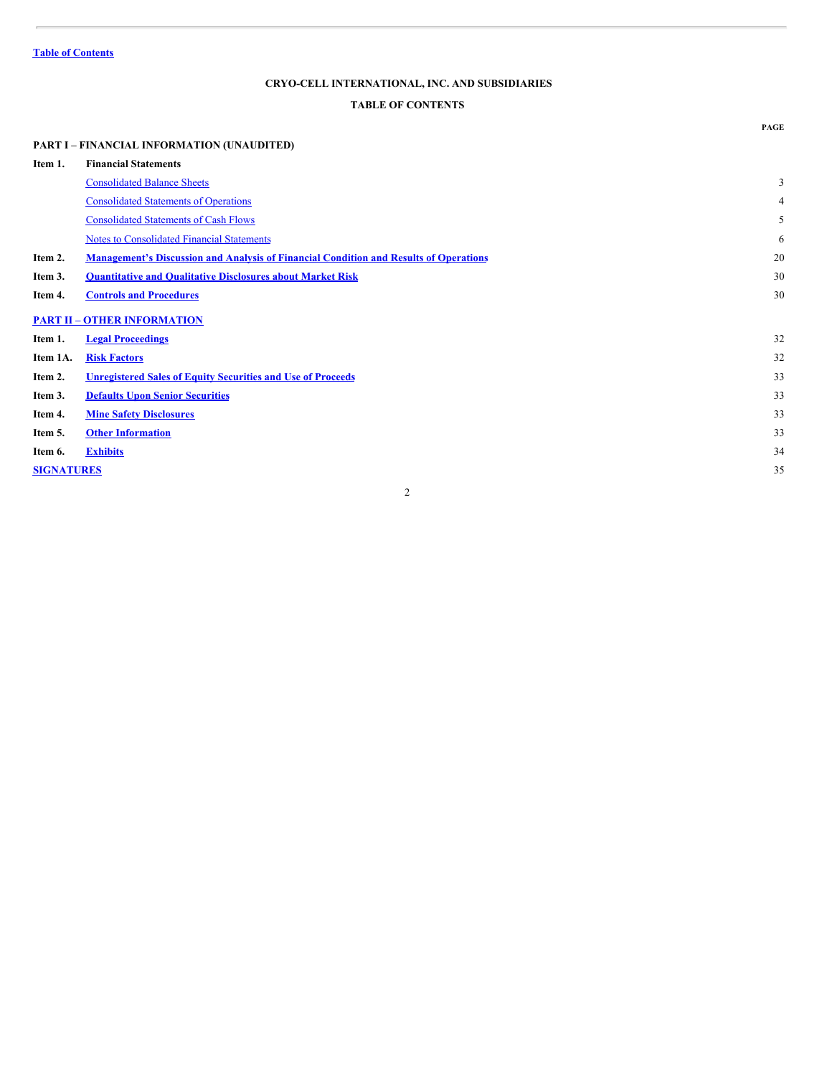# <span id="page-1-0"></span>**TABLE OF CONTENTS**

# **PART I – FINANCIAL INFORMATION (UNAUDITED) Item 1. Financial Statements** [Consolidated](#page-2-0) Balance Sheets 3 [Consolidated](#page-3-0) Statements of Operations 4 [Consolidated](#page-4-0) Statements of Cash Flows 5 Notes to [Consolidated](#page-5-0) Financial Statements 6 **Item 2. [Management's](#page-19-0) Discussion and Analysis of Financial Condition and Results of Operations** 20 **Item 3. [Quantitative](#page-29-0) and Qualitative Disclosures about Market Risk** 30 **Item 4. Controls and [Procedures](#page-29-1)** 30 **PART II – OTHER [INFORMATION](#page-31-0) Item 1. Legal [Proceedings](#page-31-1)** 32 **Item 1A. Risk [Factors](#page-31-2)** 32 **Item 2. [Unregistered](#page-32-0) Sales of Equity Securities and Use of Proceeds** 33 **Item 3. Defaults Upon Senior [Securities](#page-32-1)** 33 **Item 4. Mine Safety [Disclosures](#page-0-0)** 33 **Item 5. Other [Information](#page-32-2)** 33 **Item 6. [Exhibits](#page-33-0)** 34 **[SIGNATURES](#page-34-0)** 35

2

**PAGE**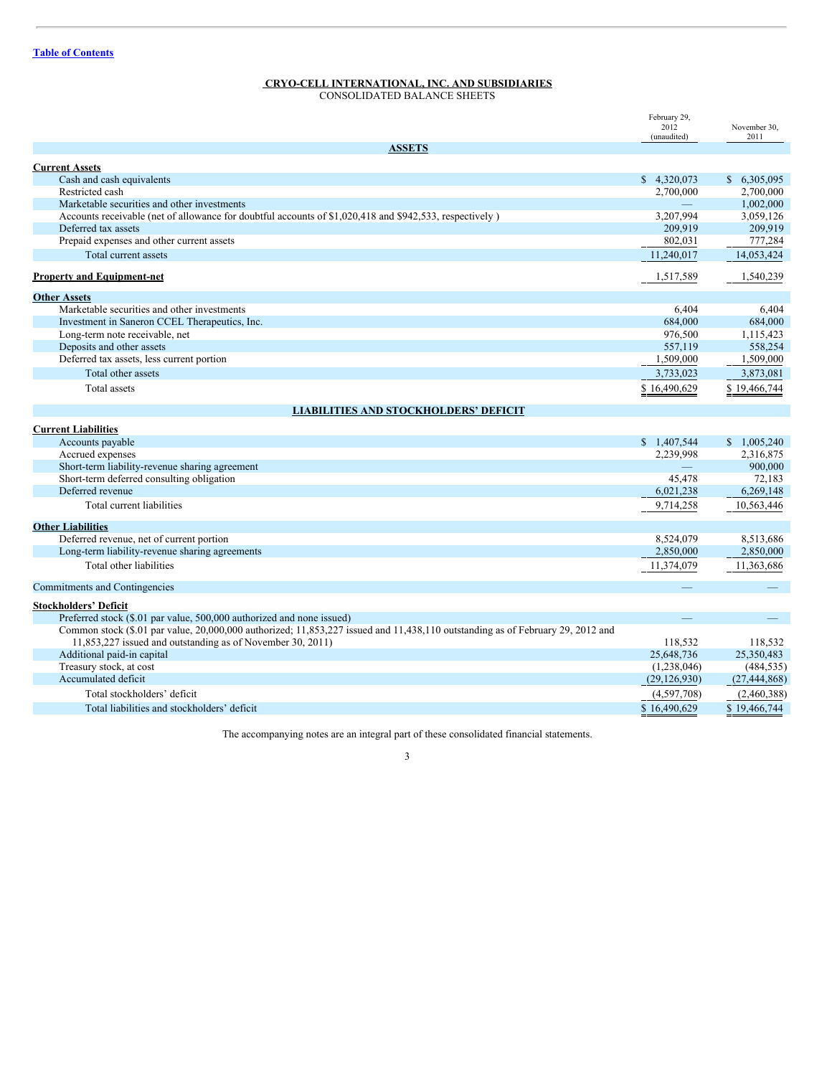<span id="page-2-0"></span>CONSOLIDATED BALANCE SHEETS

|                                                                                                                                | February 29,        |                      |
|--------------------------------------------------------------------------------------------------------------------------------|---------------------|----------------------|
|                                                                                                                                | 2012<br>(unaudited) | November 30,<br>2011 |
| <b>ASSETS</b>                                                                                                                  |                     |                      |
| <b>Current Assets</b>                                                                                                          |                     |                      |
| Cash and cash equivalents                                                                                                      | \$4,320,073         | \$6,305,095          |
| Restricted cash                                                                                                                | 2,700,000           | 2,700,000            |
| Marketable securities and other investments                                                                                    |                     | 1,002,000            |
| Accounts receivable (net of allowance for doubtful accounts of \$1,020,418 and \$942,533, respectively)                        | 3,207,994           | 3,059,126            |
| Deferred tax assets                                                                                                            | 209,919             | 209,919              |
| Prepaid expenses and other current assets                                                                                      | 802,031             | 777,284              |
| Total current assets                                                                                                           | 11,240,017          | 14,053,424           |
| <b>Property and Equipment-net</b>                                                                                              | 1,517,589           | 1,540,239            |
|                                                                                                                                |                     |                      |
| <b>Other Assets</b>                                                                                                            |                     |                      |
| Marketable securities and other investments                                                                                    | 6,404               | 6,404                |
| Investment in Saneron CCEL Therapeutics, Inc.                                                                                  | 684,000             | 684,000              |
| Long-term note receivable, net                                                                                                 | 976,500             | 1,115,423            |
| Deposits and other assets                                                                                                      | 557,119             | 558,254              |
| Deferred tax assets, less current portion                                                                                      | 1,509,000           | 1,509,000            |
| Total other assets                                                                                                             | 3,733,023           | 3,873,081            |
| Total assets                                                                                                                   | \$16,490,629        | \$19,466,744         |
| <b>LIABILITIES AND STOCKHOLDERS' DEFICIT</b>                                                                                   |                     |                      |
| <b>Current Liabilities</b>                                                                                                     |                     |                      |
| Accounts payable                                                                                                               | \$1,407,544         | \$1,005,240          |
| Accrued expenses                                                                                                               | 2,239,998           | 2,316,875            |
| Short-term liability-revenue sharing agreement                                                                                 |                     | 900,000              |
| Short-term deferred consulting obligation                                                                                      | 45,478              | 72,183               |
| Deferred revenue                                                                                                               | 6,021,238           | 6,269,148            |
| Total current liabilities                                                                                                      | 9,714,258           | 10,563,446           |
| <b>Other Liabilities</b>                                                                                                       |                     |                      |
| Deferred revenue, net of current portion                                                                                       | 8,524,079           | 8,513,686            |
| Long-term liability-revenue sharing agreements                                                                                 | 2,850,000           | 2,850,000            |
| Total other liabilities                                                                                                        | 11,374,079          | 11,363,686           |
| Commitments and Contingencies                                                                                                  |                     |                      |
| <b>Stockholders' Deficit</b>                                                                                                   |                     |                      |
| Preferred stock (\$.01 par value, 500,000 authorized and none issued)                                                          |                     |                      |
| Common stock (\$.01 par value, 20,000,000 authorized; 11,853,227 issued and 11,438,110 outstanding as of February 29, 2012 and |                     |                      |
| 11,853,227 issued and outstanding as of November 30, 2011)                                                                     | 118,532             | 118,532              |
| Additional paid-in capital                                                                                                     | 25,648,736          | 25,350,483           |
| Treasury stock, at cost                                                                                                        | (1,238,046)         | (484, 535)           |
| Accumulated deficit                                                                                                            | (29, 126, 930)      | (27, 444, 868)       |
| Total stockholders' deficit                                                                                                    | (4,597,708)         | (2,460,388)          |
| Total liabilities and stockholders' deficit                                                                                    | \$16,490,629        | \$19,466,744         |

The accompanying notes are an integral part of these consolidated financial statements.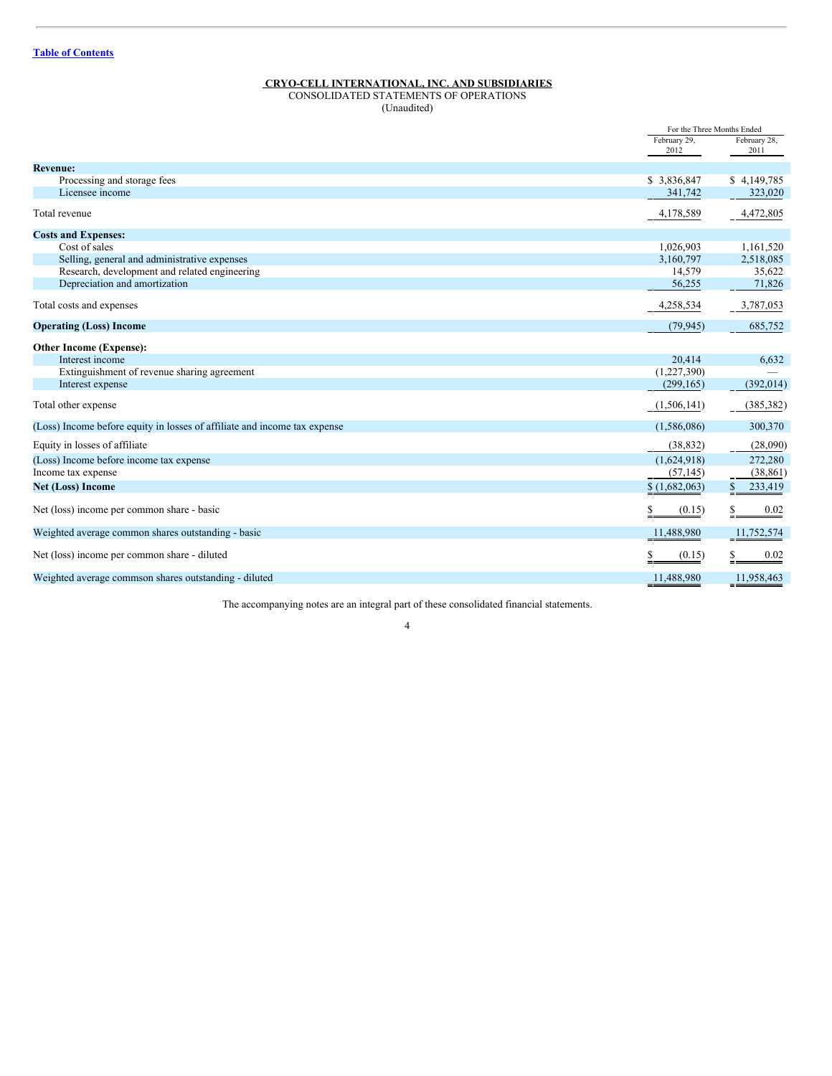<span id="page-3-0"></span>CONSOLIDATED STATEMENTS OF OPERATIONS (Unaudited)

|                                                                           |               | For the Three Months Ended |
|---------------------------------------------------------------------------|---------------|----------------------------|
|                                                                           | February 29,  | February 28,               |
|                                                                           | 2012          | 2011                       |
| <b>Revenue:</b>                                                           |               |                            |
| Processing and storage fees                                               | \$3,836,847   | \$4,149,785                |
| Licensee income                                                           | 341,742       | 323,020                    |
| Total revenue                                                             | 4,178,589     | 4,472,805                  |
| <b>Costs and Expenses:</b>                                                |               |                            |
| Cost of sales                                                             | 1,026,903     | 1,161,520                  |
| Selling, general and administrative expenses                              | 3,160,797     | 2,518,085                  |
| Research, development and related engineering                             | 14,579        | 35,622                     |
| Depreciation and amortization                                             | 56,255        | 71,826                     |
| Total costs and expenses                                                  | 4,258,534     | 3,787,053                  |
| <b>Operating (Loss) Income</b>                                            | (79, 945)     | 685,752                    |
| Other Income (Expense):                                                   |               |                            |
| Interest income                                                           | 20,414        | 6,632                      |
| Extinguishment of revenue sharing agreement                               | (1,227,390)   |                            |
| Interest expense                                                          | (299, 165)    | (392, 014)                 |
| Total other expense                                                       | (1,506,141)   | (385, 382)                 |
| (Loss) Income before equity in losses of affiliate and income tax expense | (1,586,086)   | 300,370                    |
| Equity in losses of affiliate                                             | (38, 832)     | (28,090)                   |
| (Loss) Income before income tax expense                                   | (1,624,918)   | 272,280                    |
| Income tax expense                                                        | (57, 145)     | (38, 861)                  |
| <b>Net (Loss) Income</b>                                                  | \$(1,682,063) | 233,419<br>\$              |
| Net (loss) income per common share - basic                                | (0.15)        | 0.02                       |
| Weighted average common shares outstanding - basic                        | 11,488,980    | 11,752,574                 |
| Net (loss) income per common share - diluted                              | (0.15)        | 0.02                       |
| Weighted average commson shares outstanding - diluted                     | 11,488,980    | 11,958,463                 |

The accompanying notes are an integral part of these consolidated financial statements.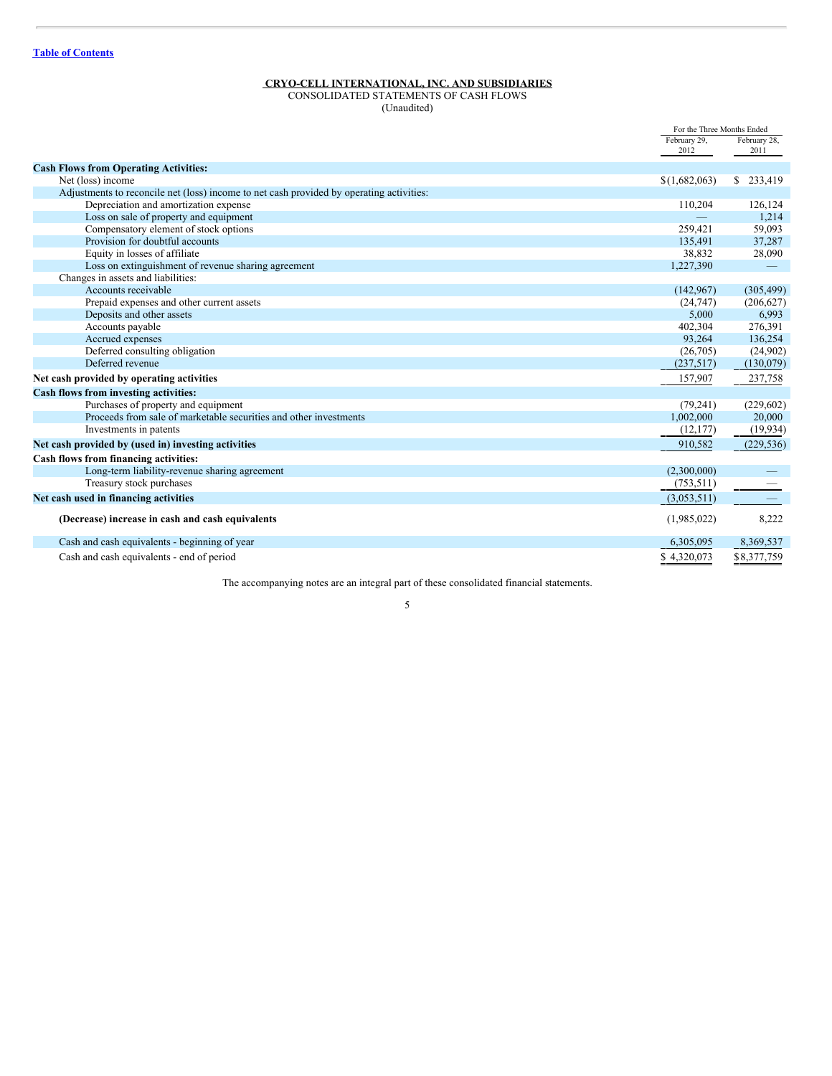# <span id="page-4-0"></span>CONSOLIDATED STATEMENTS OF CASH FLOWS

(Unaudited)

|                                                                                          | For the Three Months Ended |              |  |
|------------------------------------------------------------------------------------------|----------------------------|--------------|--|
|                                                                                          | February 29,               | February 28, |  |
|                                                                                          | 2012                       | 2011         |  |
| <b>Cash Flows from Operating Activities:</b>                                             |                            |              |  |
| Net (loss) income                                                                        | \$(1,682,063)              | \$233,419    |  |
| Adjustments to reconcile net (loss) income to net cash provided by operating activities: |                            |              |  |
| Depreciation and amortization expense                                                    | 110,204                    | 126,124      |  |
| Loss on sale of property and equipment                                                   |                            | 1,214        |  |
| Compensatory element of stock options                                                    | 259.421                    | 59,093       |  |
| Provision for doubtful accounts                                                          | 135,491                    | 37,287       |  |
| Equity in losses of affiliate                                                            | 38,832                     | 28,090       |  |
| Loss on extinguishment of revenue sharing agreement                                      | 1,227,390                  |              |  |
| Changes in assets and liabilities:                                                       |                            |              |  |
| Accounts receivable                                                                      | (142, 967)                 | (305, 499)   |  |
| Prepaid expenses and other current assets                                                | (24, 747)                  | (206, 627)   |  |
| Deposits and other assets                                                                | 5,000                      | 6,993        |  |
| Accounts payable                                                                         | 402,304                    | 276,391      |  |
| Accrued expenses                                                                         | 93,264                     | 136,254      |  |
| Deferred consulting obligation                                                           | (26,705)                   | (24,902)     |  |
| Deferred revenue                                                                         | (237,517)                  | (130,079)    |  |
| Net cash provided by operating activities                                                | 157,907                    | 237,758      |  |
| Cash flows from investing activities:                                                    |                            |              |  |
| Purchases of property and equipment                                                      | (79, 241)                  | (229, 602)   |  |
| Proceeds from sale of marketable securities and other investments                        | 1,002,000                  | 20,000       |  |
| Investments in patents                                                                   | (12, 177)                  | (19, 934)    |  |
| Net cash provided by (used in) investing activities                                      | 910,582                    | (229, 536)   |  |
| Cash flows from financing activities:                                                    |                            |              |  |
| Long-term liability-revenue sharing agreement                                            | (2,300,000)                |              |  |
| Treasury stock purchases                                                                 | (753, 511)                 |              |  |
| Net cash used in financing activities                                                    | (3,053,511)                |              |  |
| (Decrease) increase in cash and cash equivalents                                         | (1,985,022)                | 8,222        |  |
| Cash and cash equivalents - beginning of year                                            | 6,305,095                  | 8,369,537    |  |
| Cash and cash equivalents - end of period                                                | \$4,320,073                | \$8,377,759  |  |

The accompanying notes are an integral part of these consolidated financial statements.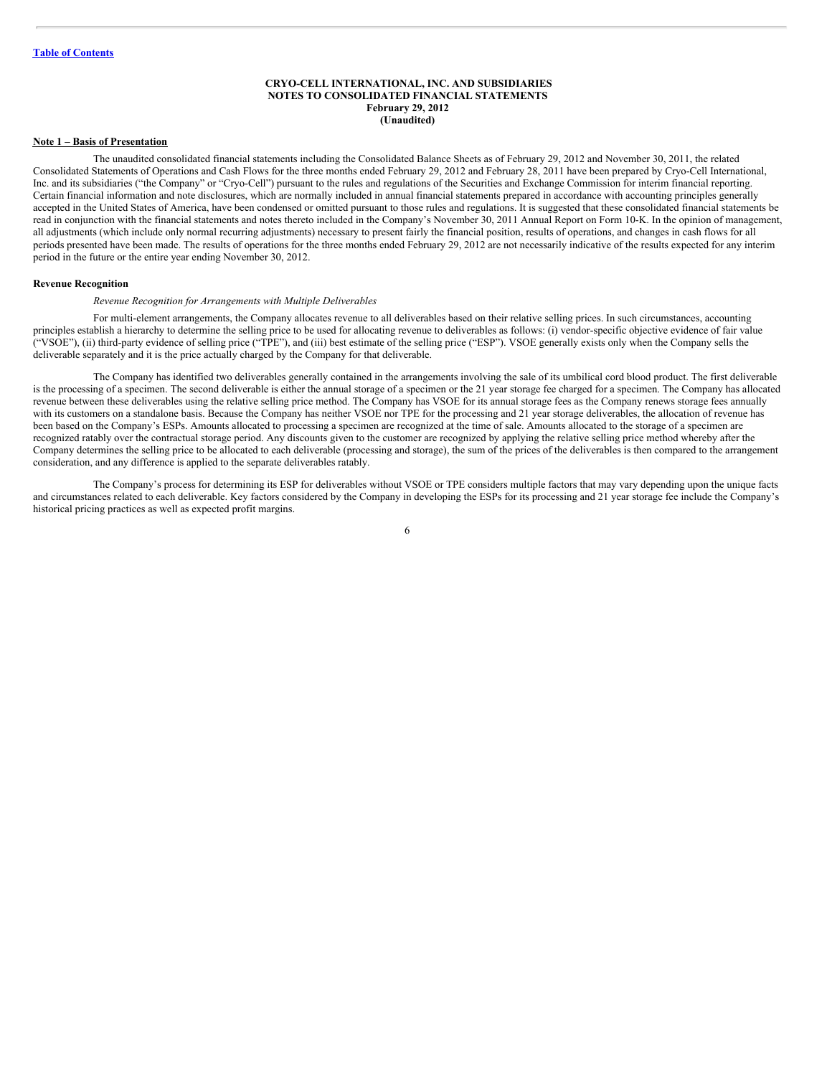#### <span id="page-5-0"></span>**CRYO-CELL INTERNATIONAL, INC. AND SUBSIDIARIES NOTES TO CONSOLIDATED FINANCIAL STATEMENTS February 29, 2012 (Unaudited)**

#### **Note 1 – Basis of Presentation**

The unaudited consolidated financial statements including the Consolidated Balance Sheets as of February 29, 2012 and November 30, 2011, the related Consolidated Statements of Operations and Cash Flows for the three months ended February 29, 2012 and February 28, 2011 have been prepared by Cryo-Cell International, Inc. and its subsidiaries ("the Company" or "Cryo-Cell") pursuant to the rules and regulations of the Securities and Exchange Commission for interim financial reporting. Certain financial information and note disclosures, which are normally included in annual financial statements prepared in accordance with accounting principles generally accepted in the United States of America, have been condensed or omitted pursuant to those rules and regulations. It is suggested that these consolidated financial statements be read in conjunction with the financial statements and notes thereto included in the Company's November 30, 2011 Annual Report on Form 10-K. In the opinion of management, all adjustments (which include only normal recurring adjustments) necessary to present fairly the financial position, results of operations, and changes in cash flows for all periods presented have been made. The results of operations for the three months ended February 29, 2012 are not necessarily indicative of the results expected for any interim period in the future or the entire year ending November 30, 2012.

#### **Revenue Recognition**

#### *Revenue Recognition for Arrangements with Multiple Deliverables*

For multi-element arrangements, the Company allocates revenue to all deliverables based on their relative selling prices. In such circumstances, accounting principles establish a hierarchy to determine the selling price to be used for allocating revenue to deliverables as follows: (i) vendor-specific objective evidence of fair value ("VSOE"), (ii) third-party evidence of selling price ("TPE"), and (iii) best estimate of the selling price ("ESP"). VSOE generally exists only when the Company sells the deliverable separately and it is the price actually charged by the Company for that deliverable.

The Company has identified two deliverables generally contained in the arrangements involving the sale of its umbilical cord blood product. The first deliverable is the processing of a specimen. The second deliverable is either the annual storage of a specimen or the 21 year storage fee charged for a specimen. The Company has allocated revenue between these deliverables using the relative selling price method. The Company has VSOE for its annual storage fees as the Company renews storage fees annually with its customers on a standalone basis. Because the Company has neither VSOE nor TPE for the processing and 21 year storage deliverables, the allocation of revenue has been based on the Company's ESPs. Amounts allocated to processing a specimen are recognized at the time of sale. Amounts allocated to the storage of a specimen are recognized ratably over the contractual storage period. Any discounts given to the customer are recognized by applying the relative selling price method whereby after the Company determines the selling price to be allocated to each deliverable (processing and storage), the sum of the prices of the deliverables is then compared to the arrangement consideration, and any difference is applied to the separate deliverables ratably.

The Company's process for determining its ESP for deliverables without VSOE or TPE considers multiple factors that may vary depending upon the unique facts and circumstances related to each deliverable. Key factors considered by the Company in developing the ESPs for its processing and 21 year storage fee include the Company's historical pricing practices as well as expected profit margins.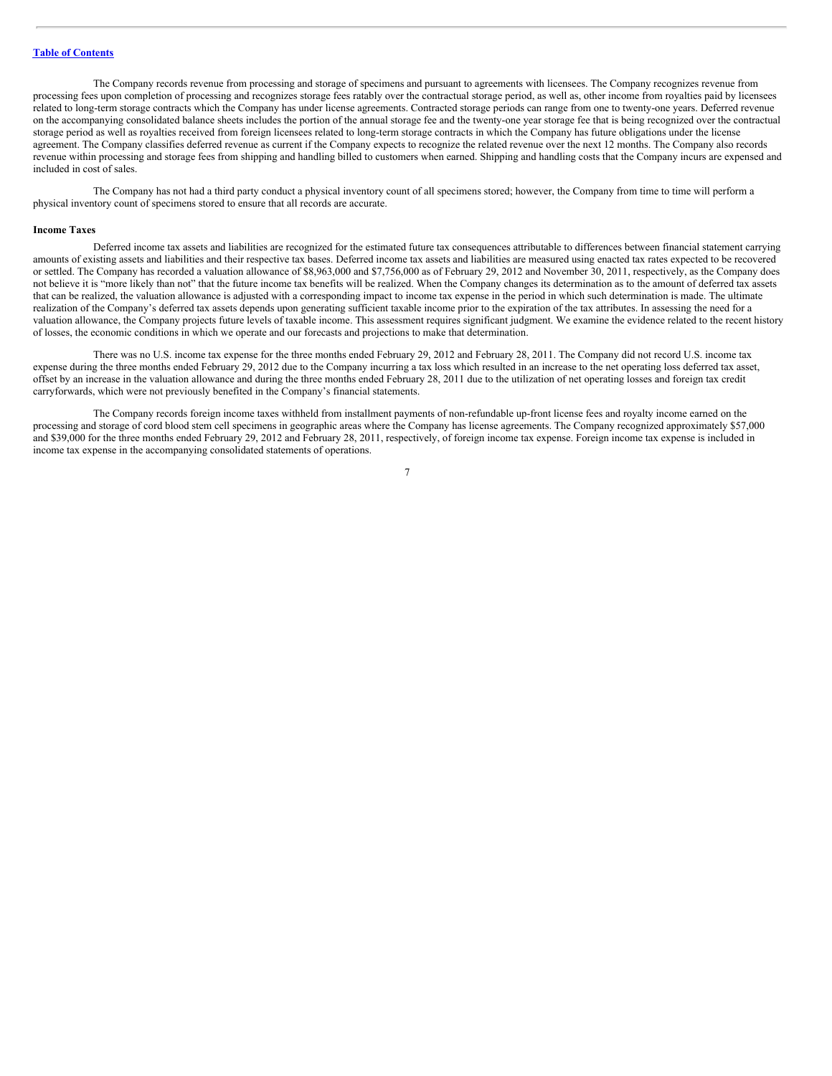The Company records revenue from processing and storage of specimens and pursuant to agreements with licensees. The Company recognizes revenue from processing fees upon completion of processing and recognizes storage fees ratably over the contractual storage period, as well as, other income from royalties paid by licensees related to long-term storage contracts which the Company has under license agreements. Contracted storage periods can range from one to twenty-one years. Deferred revenue on the accompanying consolidated balance sheets includes the portion of the annual storage fee and the twenty-one year storage fee that is being recognized over the contractual storage period as well as royalties received from foreign licensees related to long-term storage contracts in which the Company has future obligations under the license agreement. The Company classifies deferred revenue as current if the Company expects to recognize the related revenue over the next 12 months. The Company also records revenue within processing and storage fees from shipping and handling billed to customers when earned. Shipping and handling costs that the Company incurs are expensed and included in cost of sales.

The Company has not had a third party conduct a physical inventory count of all specimens stored; however, the Company from time to time will perform a physical inventory count of specimens stored to ensure that all records are accurate.

#### **Income Taxes**

Deferred income tax assets and liabilities are recognized for the estimated future tax consequences attributable to differences between financial statement carrying amounts of existing assets and liabilities and their respective tax bases. Deferred income tax assets and liabilities are measured using enacted tax rates expected to be recovered or settled. The Company has recorded a valuation allowance of \$8,963,000 and \$7,756,000 as of February 29, 2012 and November 30, 2011, respectively, as the Company does not believe it is "more likely than not" that the future income tax benefits will be realized. When the Company changes its determination as to the amount of deferred tax assets that can be realized, the valuation allowance is adjusted with a corresponding impact to income tax expense in the period in which such determination is made. The ultimate realization of the Company's deferred tax assets depends upon generating sufficient taxable income prior to the expiration of the tax attributes. In assessing the need for a valuation allowance, the Company projects future levels of taxable income. This assessment requires significant judgment. We examine the evidence related to the recent history of losses, the economic conditions in which we operate and our forecasts and projections to make that determination.

There was no U.S. income tax expense for the three months ended February 29, 2012 and February 28, 2011. The Company did not record U.S. income tax expense during the three months ended February 29, 2012 due to the Company incurring a tax loss which resulted in an increase to the net operating loss deferred tax asset, offset by an increase in the valuation allowance and during the three months ended February 28, 2011 due to the utilization of net operating losses and foreign tax credit carryforwards, which were not previously benefited in the Company's financial statements.

The Company records foreign income taxes withheld from installment payments of non-refundable up-front license fees and royalty income earned on the processing and storage of cord blood stem cell specimens in geographic areas where the Company has license agreements. The Company recognized approximately \$57,000 and \$39,000 for the three months ended February 29, 2012 and February 28, 2011, respectively, of foreign income tax expense. Foreign income tax expense is included in income tax expense in the accompanying consolidated statements of operations.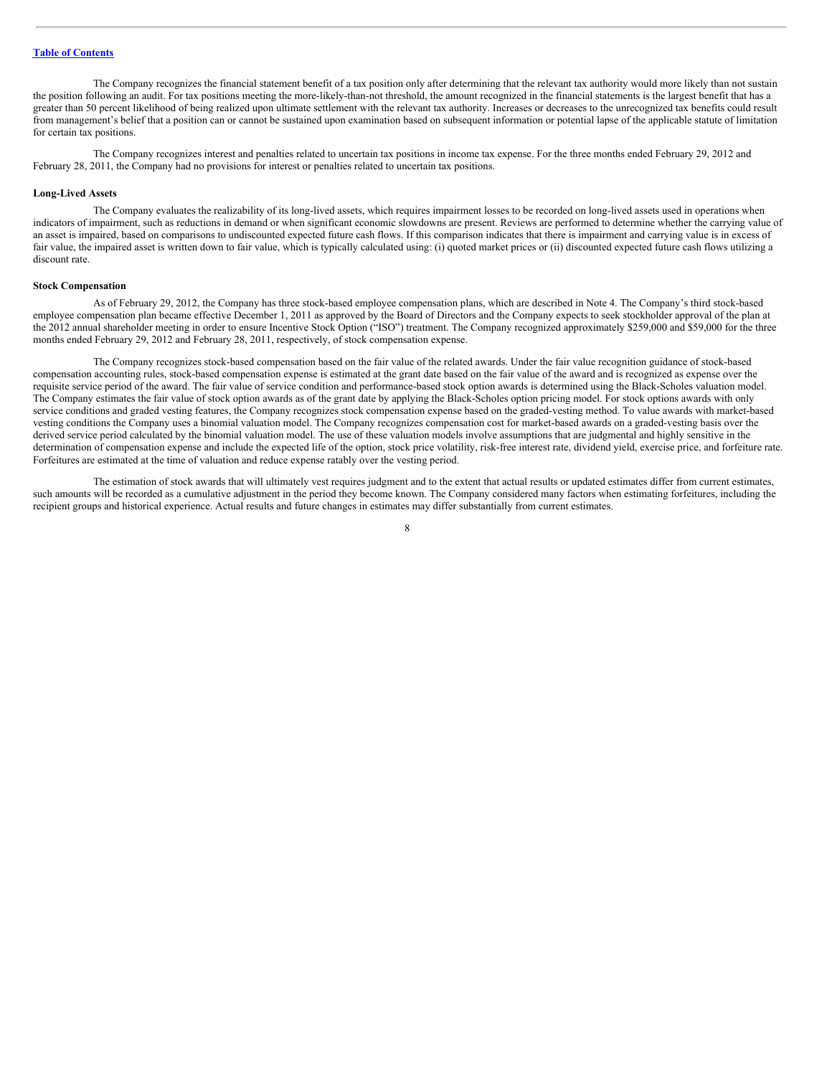The Company recognizes the financial statement benefit of a tax position only after determining that the relevant tax authority would more likely than not sustain the position following an audit. For tax positions meeting the more-likely-than-not threshold, the amount recognized in the financial statements is the largest benefit that has a greater than 50 percent likelihood of being realized upon ultimate settlement with the relevant tax authority. Increases or decreases to the unrecognized tax benefits could result from management's belief that a position can or cannot be sustained upon examination based on subsequent information or potential lapse of the applicable statute of limitation for certain tax positions.

The Company recognizes interest and penalties related to uncertain tax positions in income tax expense. For the three months ended February 29, 2012 and February 28, 2011, the Company had no provisions for interest or penalties related to uncertain tax positions.

#### **Long-Lived Assets**

The Company evaluates the realizability of its long-lived assets, which requires impairment losses to be recorded on long-lived assets used in operations when indicators of impairment, such as reductions in demand or when significant economic slowdowns are present. Reviews are performed to determine whether the carrying value of an asset is impaired, based on comparisons to undiscounted expected future cash flows. If this comparison indicates that there is impairment and carrying value is in excess of fair value, the impaired asset is written down to fair value, which is typically calculated using: (i) quoted market prices or (ii) discounted expected future cash flows utilizing a discount rate.

#### **Stock Compensation**

As of February 29, 2012, the Company has three stock-based employee compensation plans, which are described in Note 4. The Company's third stock-based employee compensation plan became effective December 1, 2011 as approved by the Board of Directors and the Company expects to seek stockholder approval of the plan at the 2012 annual shareholder meeting in order to ensure Incentive Stock Option ("ISO") treatment. The Company recognized approximately \$259,000 and \$59,000 for the three months ended February 29, 2012 and February 28, 2011, respectively, of stock compensation expense.

The Company recognizes stock-based compensation based on the fair value of the related awards. Under the fair value recognition guidance of stock-based compensation accounting rules, stock-based compensation expense is estimated at the grant date based on the fair value of the award and is recognized as expense over the requisite service period of the award. The fair value of service condition and performance-based stock option awards is determined using the Black-Scholes valuation model. The Company estimates the fair value of stock option awards as of the grant date by applying the Black-Scholes option pricing model. For stock options awards with only service conditions and graded vesting features, the Company recognizes stock compensation expense based on the graded-vesting method. To value awards with market-based vesting conditions the Company uses a binomial valuation model. The Company recognizes compensation cost for market-based awards on a graded-vesting basis over the derived service period calculated by the binomial valuation model. The use of these valuation models involve assumptions that are judgmental and highly sensitive in the determination of compensation expense and include the expected life of the option, stock price volatility, risk-free interest rate, dividend yield, exercise price, and forfeiture rate. Forfeitures are estimated at the time of valuation and reduce expense ratably over the vesting period.

The estimation of stock awards that will ultimately vest requires judgment and to the extent that actual results or updated estimates differ from current estimates, such amounts will be recorded as a cumulative adjustment in the period they become known. The Company considered many factors when estimating forfeitures, including the recipient groups and historical experience. Actual results and future changes in estimates may differ substantially from current estimates.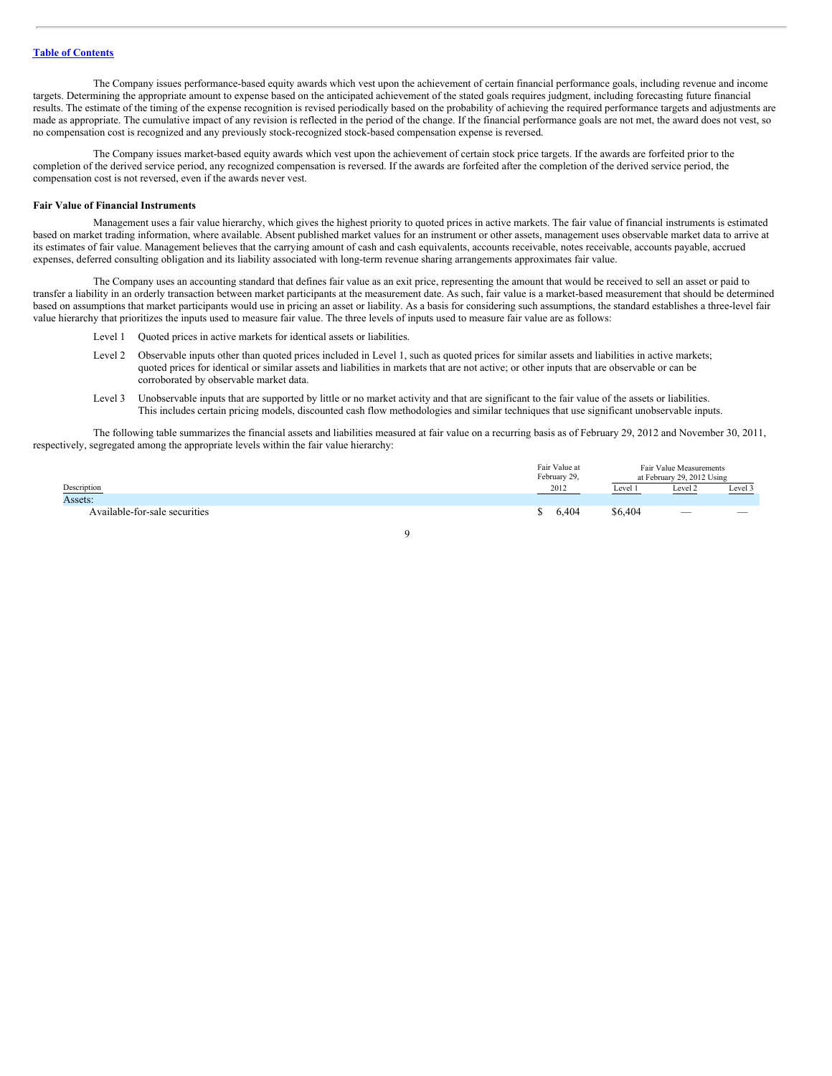The Company issues performance-based equity awards which vest upon the achievement of certain financial performance goals, including revenue and income targets. Determining the appropriate amount to expense based on the anticipated achievement of the stated goals requires judgment, including forecasting future financial results. The estimate of the timing of the expense recognition is revised periodically based on the probability of achieving the required performance targets and adjustments are made as appropriate. The cumulative impact of any revision is reflected in the period of the change. If the financial performance goals are not met, the award does not vest, so no compensation cost is recognized and any previously stock-recognized stock-based compensation expense is reversed.

The Company issues market-based equity awards which vest upon the achievement of certain stock price targets. If the awards are forfeited prior to the completion of the derived service period, any recognized compensation is reversed. If the awards are forfeited after the completion of the derived service period, the compensation cost is not reversed, even if the awards never vest.

#### **Fair Value of Financial Instruments**

Management uses a fair value hierarchy, which gives the highest priority to quoted prices in active markets. The fair value of financial instruments is estimated based on market trading information, where available. Absent published market values for an instrument or other assets, management uses observable market data to arrive at its estimates of fair value. Management believes that the carrying amount of cash and cash equivalents, accounts receivable, notes receivable, accounts payable, accrued expenses, deferred consulting obligation and its liability associated with long-term revenue sharing arrangements approximates fair value.

The Company uses an accounting standard that defines fair value as an exit price, representing the amount that would be received to sell an asset or paid to transfer a liability in an orderly transaction between market participants at the measurement date. As such, fair value is a market-based measurement that should be determined based on assumptions that market participants would use in pricing an asset or liability. As a basis for considering such assumptions, the standard establishes a three-level fair value hierarchy that prioritizes the inputs used to measure fair value. The three levels of inputs used to measure fair value are as follows:

- Level 1 Quoted prices in active markets for identical assets or liabilities.
- Level 2 Observable inputs other than quoted prices included in Level 1, such as quoted prices for similar assets and liabilities in active markets; quoted prices for identical or similar assets and liabilities in markets that are not active; or other inputs that are observable or can be corroborated by observable market data.
- Level 3 Unobservable inputs that are supported by little or no market activity and that are significant to the fair value of the assets or liabilities. This includes certain pricing models, discounted cash flow methodologies and similar techniques that use significant unobservable inputs.

The following table summarizes the financial assets and liabilities measured at fair value on a recurring basis as of February 29, 2012 and November 30, 2011, respectively, segregated among the appropriate levels within the fair value hierarchy:

|                               | Fair Value at<br>February 29, |         | Fair Value Measurements<br>at February 29, 2012 Using |                          |  |
|-------------------------------|-------------------------------|---------|-------------------------------------------------------|--------------------------|--|
| Description                   | 2012                          | Level 1 | Level 2                                               | Level 3                  |  |
| Assets:                       |                               |         |                                                       |                          |  |
| Available-for-sale securities | 6.404                         | \$6,404 | -                                                     | $\overline{\phantom{a}}$ |  |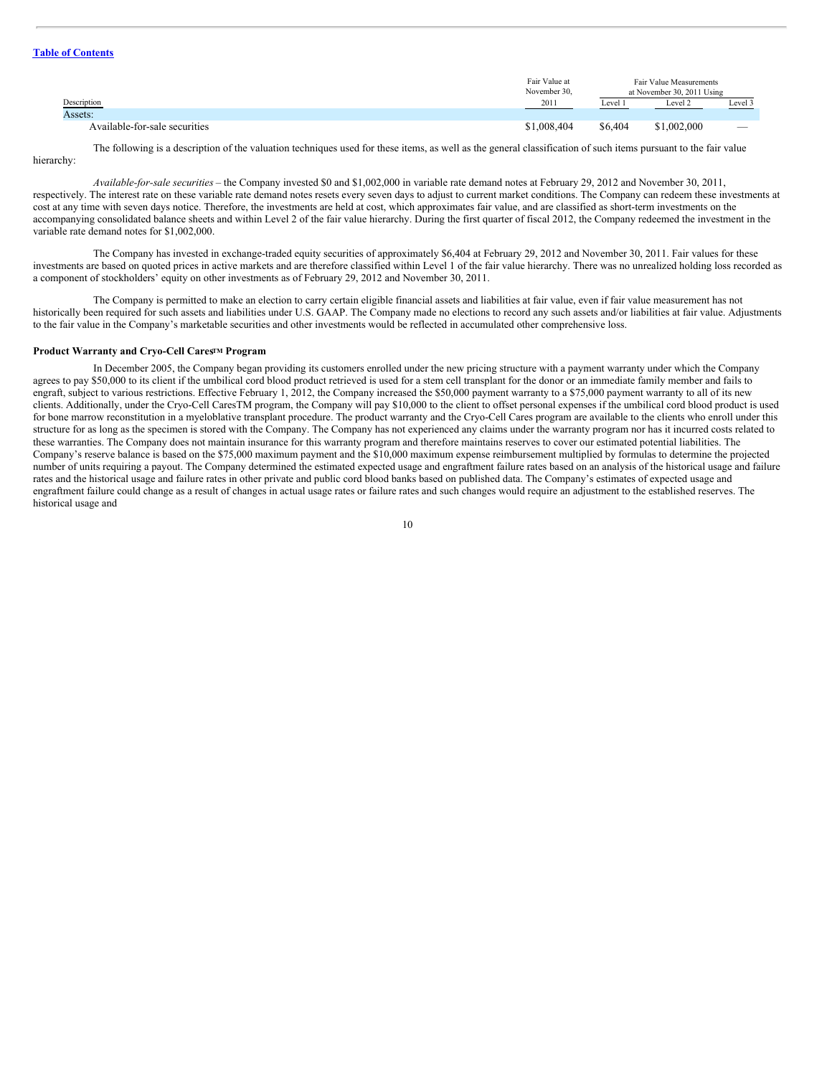#### **Table of [Contents](#page-1-0)**

|                               | Fair Value at<br>November 30, | Fair Value Measurements<br>at November 30, 2011 Using |             |                                 |  |
|-------------------------------|-------------------------------|-------------------------------------------------------|-------------|---------------------------------|--|
| Description                   | 2011                          | Level 1                                               | Level 2     | Level 3                         |  |
| Assets:                       |                               |                                                       |             |                                 |  |
| Available-for-sale securities | \$1,008,404                   | \$6,404                                               | \$1,002,000 | $\hspace{0.1mm}-\hspace{0.1mm}$ |  |

The following is a description of the valuation techniques used for these items, as well as the general classification of such items pursuant to the fair value hierarchy:

*Available-for-sale securities* – the Company invested \$0 and \$1,002,000 in variable rate demand notes at February 29, 2012 and November 30, 2011, respectively. The interest rate on these variable rate demand notes resets every seven days to adjust to current market conditions. The Company can redeem these investments at cost at any time with seven days notice. Therefore, the investments are held at cost, which approximates fair value, and are classified as short-term investments on the accompanying consolidated balance sheets and within Level 2 of the fair value hierarchy. During the first quarter of fiscal 2012, the Company redeemed the investment in the variable rate demand notes for \$1,002,000.

The Company has invested in exchange-traded equity securities of approximately \$6,404 at February 29, 2012 and November 30, 2011. Fair values for these investments are based on quoted prices in active markets and are therefore classified within Level 1 of the fair value hierarchy. There was no unrealized holding loss recorded as a component of stockholders' equity on other investments as of February 29, 2012 and November 30, 2011.

The Company is permitted to make an election to carry certain eligible financial assets and liabilities at fair value, even if fair value measurement has not historically been required for such assets and liabilities under U.S. GAAP. The Company made no elections to record any such assets and/or liabilities at fair value. Adjustments to the fair value in the Company's marketable securities and other investments would be reflected in accumulated other comprehensive loss.

#### **Product Warranty and Cryo-Cell Cares<sup>TM</sup> Program**

In December 2005, the Company began providing its customers enrolled under the new pricing structure with a payment warranty under which the Company agrees to pay \$50,000 to its client if the umbilical cord blood product retrieved is used for a stem cell transplant for the donor or an immediate family member and fails to engraft, subject to various restrictions. Effective February 1, 2012, the Company increased the \$50,000 payment warranty to a \$75,000 payment warranty to all of its new clients. Additionally, under the Cryo-Cell CaresTM program, the Company will pay \$10,000 to the client to offset personal expenses if the umbilical cord blood product is used for bone marrow reconstitution in a myeloblative transplant procedure. The product warranty and the Cryo-Cell Cares program are available to the clients who enroll under this structure for as long as the specimen is stored with the Company. The Company has not experienced any claims under the warranty program nor has it incurred costs related to these warranties. The Company does not maintain insurance for this warranty program and therefore maintains reserves to cover our estimated potential liabilities. The Company's reserve balance is based on the \$75,000 maximum payment and the \$10,000 maximum expense reimbursement multiplied by formulas to determine the projected number of units requiring a payout. The Company determined the estimated expected usage and engraftment failure rates based on an analysis of the historical usage and failure rates and the historical usage and failure rates in other private and public cord blood banks based on published data. The Company's estimates of expected usage and engraftment failure could change as a result of changes in actual usage rates or failure rates and such changes would require an adjustment to the established reserves. The historical usage and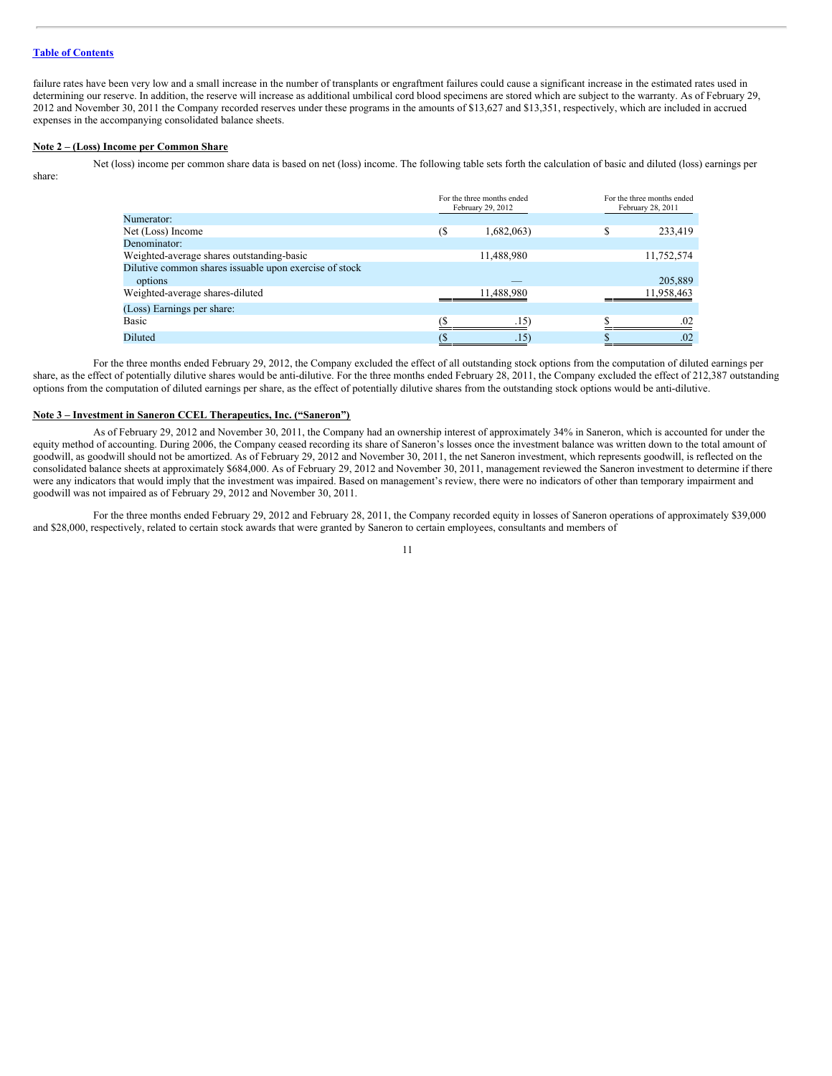#### **Table of [Contents](#page-1-0)**

failure rates have been very low and a small increase in the number of transplants or engraftment failures could cause a significant increase in the estimated rates used in determining our reserve. In addition, the reserve will increase as additional umbilical cord blood specimens are stored which are subject to the warranty. As of February 29, 2012 and November 30, 2011 the Company recorded reserves under these programs in the amounts of \$13,627 and \$13,351, respectively, which are included in accrued expenses in the accompanying consolidated balance sheets.

#### **Note 2 – (Loss) Income per Common Share**

Net (loss) income per common share data is based on net (loss) income. The following table sets forth the calculation of basic and diluted (loss) earnings per share:

|                                                                   | For the three months ended<br>February 29, 2012 |               |   | For the three months ended<br>February 28, 2011 |
|-------------------------------------------------------------------|-------------------------------------------------|---------------|---|-------------------------------------------------|
| Numerator:                                                        |                                                 |               |   |                                                 |
| Net (Loss) Income                                                 | $($ \$                                          | 1,682,063)    | S | 233,419                                         |
| Denominator:                                                      |                                                 |               |   |                                                 |
| Weighted-average shares outstanding-basic                         |                                                 | 11,488,980    |   | 11,752,574                                      |
| Dilutive common shares issuable upon exercise of stock<br>options |                                                 |               |   | 205,889                                         |
| Weighted-average shares-diluted                                   |                                                 | 11,488,980    |   | 11,958,463                                      |
| (Loss) Earnings per share:                                        |                                                 |               |   |                                                 |
| Basic                                                             |                                                 | $.15^{\circ}$ |   | .02                                             |
| Diluted                                                           |                                                 | $.15^{\circ}$ |   | .02                                             |

For the three months ended February 29, 2012, the Company excluded the effect of all outstanding stock options from the computation of diluted earnings per share, as the effect of potentially dilutive shares would be anti-dilutive. For the three months ended February 28, 2011, the Company excluded the effect of 212,387 outstanding options from the computation of diluted earnings per share, as the effect of potentially dilutive shares from the outstanding stock options would be anti-dilutive.

#### **Note 3 – Investment in Saneron CCEL Therapeutics, Inc. ("Saneron")**

As of February 29, 2012 and November 30, 2011, the Company had an ownership interest of approximately 34% in Saneron, which is accounted for under the equity method of accounting. During 2006, the Company ceased recording its share of Saneron's losses once the investment balance was written down to the total amount of goodwill, as goodwill should not be amortized. As of February 29, 2012 and November 30, 2011, the net Saneron investment, which represents goodwill, is reflected on the consolidated balance sheets at approximately \$684,000. As of February 29, 2012 and November 30, 2011, management reviewed the Saneron investment to determine if there were any indicators that would imply that the investment was impaired. Based on management's review, there were no indicators of other than temporary impairment and goodwill was not impaired as of February 29, 2012 and November 30, 2011.

For the three months ended February 29, 2012 and February 28, 2011, the Company recorded equity in losses of Saneron operations of approximately \$39,000 and \$28,000, respectively, related to certain stock awards that were granted by Saneron to certain employees, consultants and members of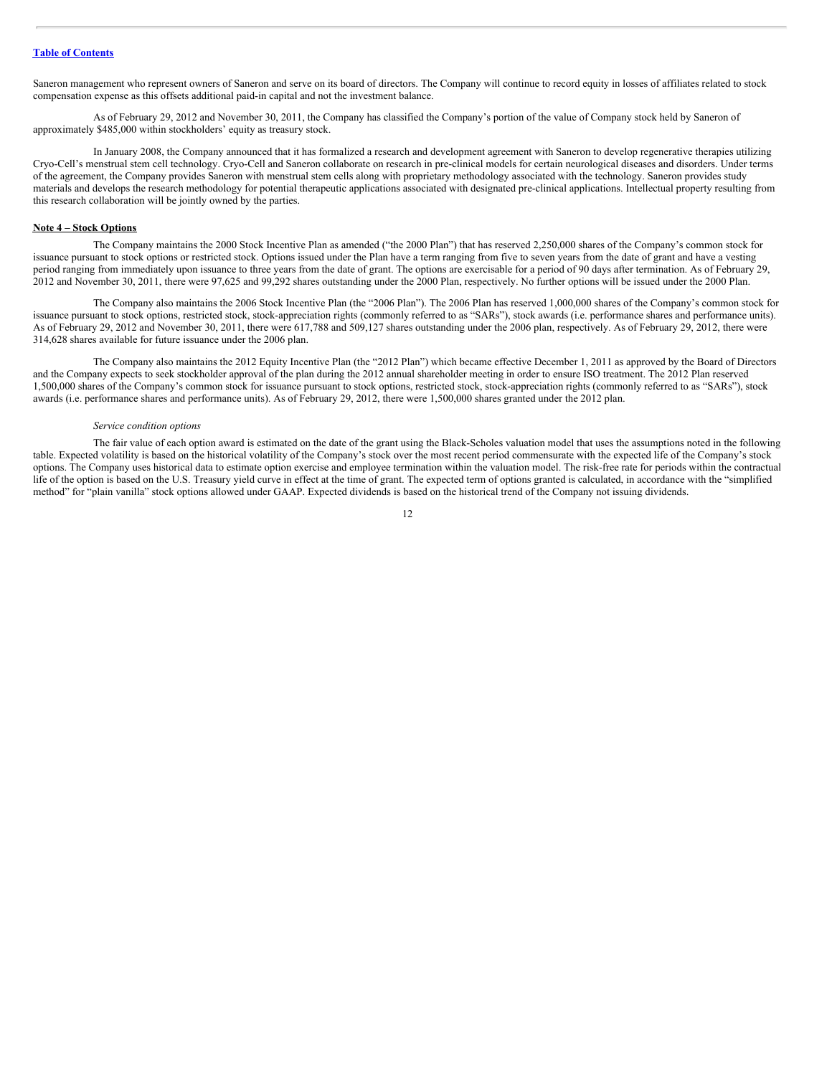Saneron management who represent owners of Saneron and serve on its board of directors. The Company will continue to record equity in losses of affiliates related to stock compensation expense as this offsets additional paid-in capital and not the investment balance.

As of February 29, 2012 and November 30, 2011, the Company has classified the Company's portion of the value of Company stock held by Saneron of approximately \$485,000 within stockholders' equity as treasury stock.

In January 2008, the Company announced that it has formalized a research and development agreement with Saneron to develop regenerative therapies utilizing Cryo-Cell's menstrual stem cell technology. Cryo-Cell and Saneron collaborate on research in pre-clinical models for certain neurological diseases and disorders. Under terms of the agreement, the Company provides Saneron with menstrual stem cells along with proprietary methodology associated with the technology. Saneron provides study materials and develops the research methodology for potential therapeutic applications associated with designated pre-clinical applications. Intellectual property resulting from this research collaboration will be jointly owned by the parties.

# **Note 4 – Stock Options**

The Company maintains the 2000 Stock Incentive Plan as amended ("the 2000 Plan") that has reserved 2,250,000 shares of the Company's common stock for issuance pursuant to stock options or restricted stock. Options issued under the Plan have a term ranging from five to seven years from the date of grant and have a vesting period ranging from immediately upon issuance to three years from the date of grant. The options are exercisable for a period of 90 days after termination. As of February 29, 2012 and November 30, 2011, there were 97,625 and 99,292 shares outstanding under the 2000 Plan, respectively. No further options will be issued under the 2000 Plan.

The Company also maintains the 2006 Stock Incentive Plan (the "2006 Plan"). The 2006 Plan has reserved 1,000,000 shares of the Company's common stock for issuance pursuant to stock options, restricted stock, stock-appreciation rights (commonly referred to as "SARs"), stock awards (i.e. performance shares and performance units). As of February 29, 2012 and November 30, 2011, there were 617,788 and 509,127 shares outstanding under the 2006 plan, respectively. As of February 29, 2012, there were 314,628 shares available for future issuance under the 2006 plan.

The Company also maintains the 2012 Equity Incentive Plan (the "2012 Plan") which became effective December 1, 2011 as approved by the Board of Directors and the Company expects to seek stockholder approval of the plan during the 2012 annual shareholder meeting in order to ensure ISO treatment. The 2012 Plan reserved 1,500,000 shares of the Company's common stock for issuance pursuant to stock options, restricted stock, stock-appreciation rights (commonly referred to as "SARs"), stock awards (i.e. performance shares and performance units). As of February 29, 2012, there were 1,500,000 shares granted under the 2012 plan.

#### *Service condition options*

The fair value of each option award is estimated on the date of the grant using the Black-Scholes valuation model that uses the assumptions noted in the following table. Expected volatility is based on the historical volatility of the Company's stock over the most recent period commensurate with the expected life of the Company's stock options. The Company uses historical data to estimate option exercise and employee termination within the valuation model. The risk-free rate for periods within the contractual life of the option is based on the U.S. Treasury yield curve in effect at the time of grant. The expected term of options granted is calculated, in accordance with the "simplified method" for "plain vanilla" stock options allowed under GAAP. Expected dividends is based on the historical trend of the Company not issuing dividends.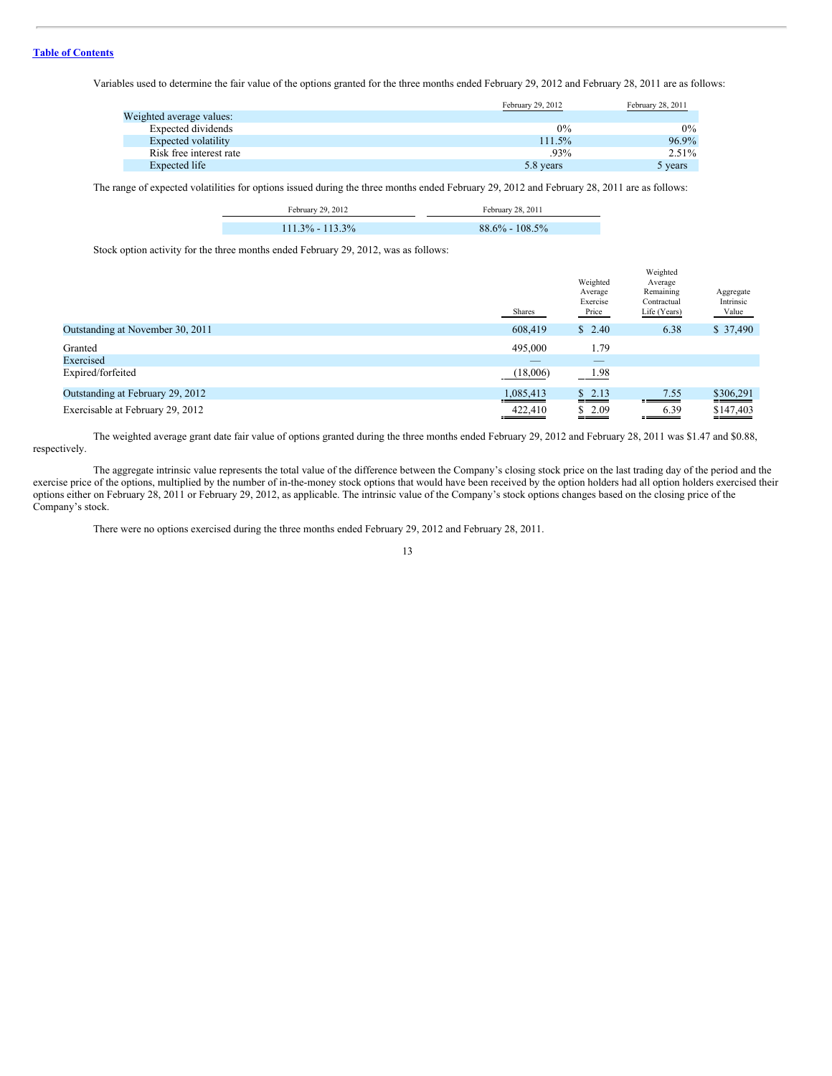Variables used to determine the fair value of the options granted for the three months ended February 29, 2012 and February 28, 2011 are as follows:

|                          | February 29, 2012 | February 28, 2011 |
|--------------------------|-------------------|-------------------|
| Weighted average values: |                   |                   |
| Expected dividends       | $0\%$             | $0\%$             |
| Expected volatility      | 111.5%            | 96.9%             |
| Risk free interest rate  | $.93\%$           | 2.51%             |
| Expected life            | 5.8 years         | 5 years           |

The range of expected volatilities for options issued during the three months ended February 29, 2012 and February 28, 2011 are as follows:

| February 29, 2012   | February 28, 2011  |
|---------------------|--------------------|
| $111.3\% - 113.3\%$ | $88.6\% - 108.5\%$ |

Stock option activity for the three months ended February 29, 2012, was as follows:

**College** 

|                                  | Shares    | Weighted<br>Average<br>Exercise<br>Price | Weighted<br>Average<br>Remaining<br>Contractual<br>Life (Years) | Aggregate<br>Intrinsic<br>Value |
|----------------------------------|-----------|------------------------------------------|-----------------------------------------------------------------|---------------------------------|
| Outstanding at November 30, 2011 | 608,419   | \$2.40                                   | 6.38                                                            | \$37,490                        |
| Granted                          | 495,000   | 1.79                                     |                                                                 |                                 |
| Exercised                        | $-$       |                                          |                                                                 |                                 |
| Expired/forfeited                | (18,006)  | 1.98                                     |                                                                 |                                 |
| Outstanding at February 29, 2012 | 1,085,413 | \$2.13                                   | 7.55                                                            | \$306,291                       |
| Exercisable at February 29, 2012 | 422,410   | \$2.09                                   | 6.39<br>=======                                                 | \$147,403                       |

The weighted average grant date fair value of options granted during the three months ended February 29, 2012 and February 28, 2011 was \$1.47 and \$0.88, respectively.

The aggregate intrinsic value represents the total value of the difference between the Company's closing stock price on the last trading day of the period and the exercise price of the options, multiplied by the number of in-the-money stock options that would have been received by the option holders had all option holders exercised their options either on February 28, 2011 or February 29, 2012, as applicable. The intrinsic value of the Company's stock options changes based on the closing price of the Company's stock.

There were no options exercised during the three months ended February 29, 2012 and February 28, 2011.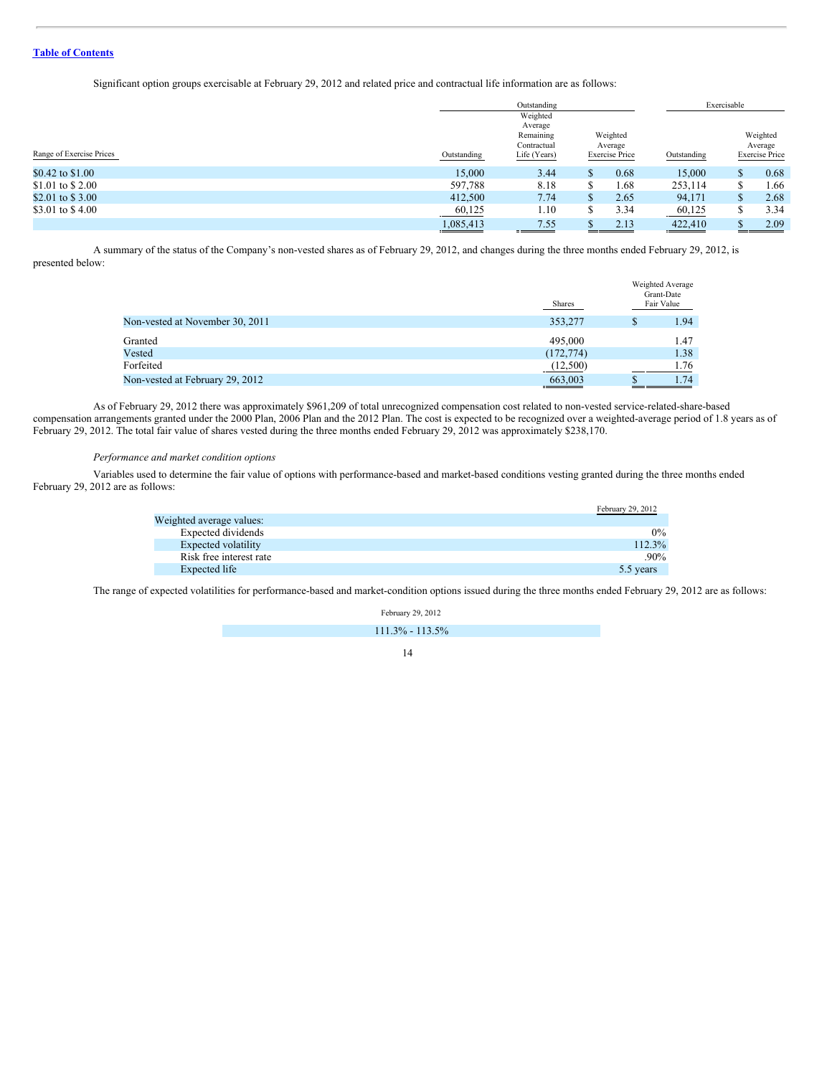Significant option groups exercisable at February 29, 2012 and related price and contractual life information are as follows:

|                          |             | Outstanding                                                     |  |                                              | Exercisable              |               |                                              |
|--------------------------|-------------|-----------------------------------------------------------------|--|----------------------------------------------|--------------------------|---------------|----------------------------------------------|
| Range of Exercise Prices | Outstanding | Weighted<br>Average<br>Remaining<br>Contractual<br>Life (Years) |  | Weighted<br>Average<br><b>Exercise Price</b> | Outstanding              |               | Weighted<br>Average<br><b>Exercise Price</b> |
| \$0.42 to \$1.00         | 15,000      | 3.44                                                            |  | 0.68                                         | 15,000                   | <sup>\$</sup> | 0.68                                         |
| \$1.01 to \$2.00         | 597,788     | 8.18                                                            |  | 1.68                                         | 253,114                  | \$            | 1.66                                         |
| \$2.01 to \$3.00         | 412,500     | 7.74                                                            |  | 2.65                                         | 94,171                   | \$            | 2.68                                         |
| \$3.01 to \$4.00         | 60,125      | 1.10                                                            |  | 3.34                                         | 60,125                   | S             | 3.34                                         |
|                          | 1,085,413   | 7.55<br><b>Representative</b>                                   |  | 2.13                                         | 422,410<br>$\sim$ $\sim$ |               | 2.09                                         |

A summary of the status of the Company's non-vested shares as of February 29, 2012, and changes during the three months ended February 29, 2012, is presented below:

|                                 | <b>Shares</b> |   | Weighted Average<br>Grant-Date<br>Fair Value |
|---------------------------------|---------------|---|----------------------------------------------|
| Non-vested at November 30, 2011 | 353,277       | S | 1.94                                         |
| Granted                         | 495,000       |   | 1.47                                         |
| Vested                          | (172, 774)    |   | 1.38                                         |
| Forfeited                       | (12,500)      |   | 1.76                                         |
| Non-vested at February 29, 2012 | 663,003       |   | 1.74                                         |
|                                 |               |   |                                              |

As of February 29, 2012 there was approximately \$961,209 of total unrecognized compensation cost related to non-vested service-related-share-based compensation arrangements granted under the 2000 Plan, 2006 Plan and the 2012 Plan. The cost is expected to be recognized over a weighted-average period of 1.8 years as of February 29, 2012. The total fair value of shares vested during the three months ended February 29, 2012 was approximately \$238,170.

# *Performance and market condition options*

Variables used to determine the fair value of options with performance-based and market-based conditions vesting granted during the three months ended February 29, 2012 are as follows:

|                          | February 29, 2012 |
|--------------------------|-------------------|
| Weighted average values: |                   |
| Expected dividends       | $0\%$             |
| Expected volatility      | 112.3%            |
| Risk free interest rate  | $.90\%$           |
| Expected life            | 5.5 years         |

The range of expected volatilities for performance-based and market-condition options issued during the three months ended February 29, 2012 are as follows:

February 29, 2012

111.3% - 113.5%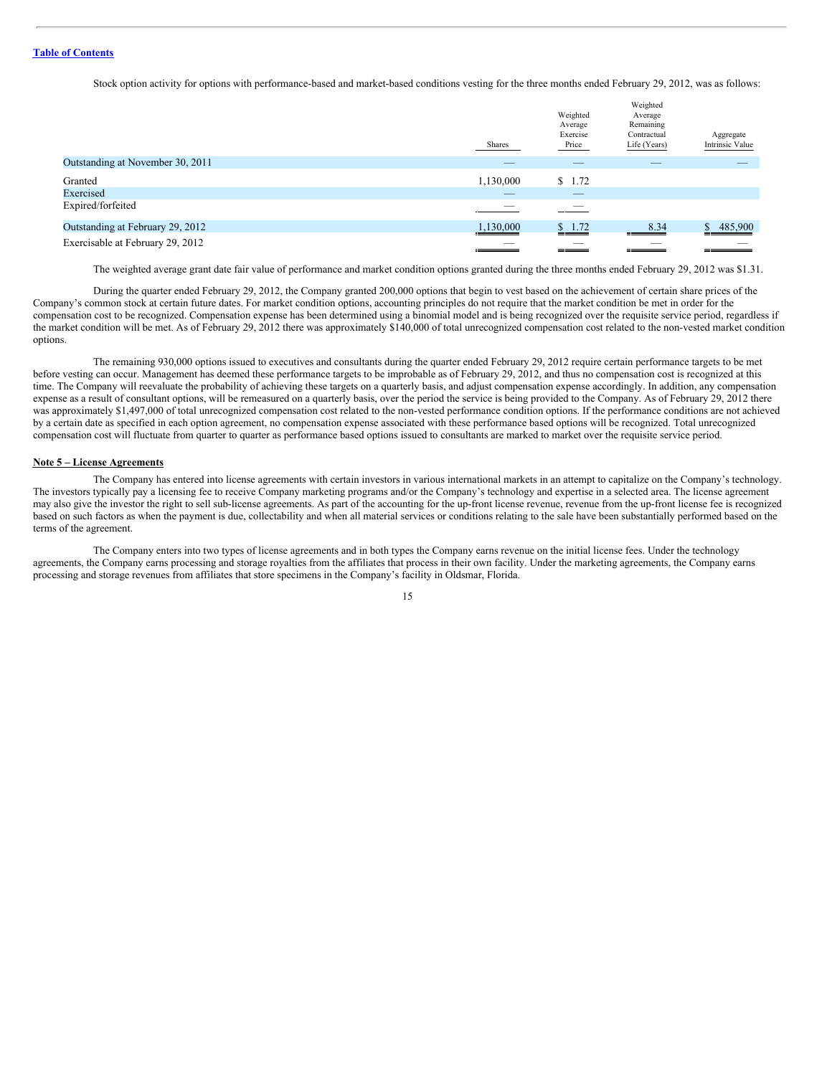Stock option activity for options with performance-based and market-based conditions vesting for the three months ended February 29, 2012, was as follows:

|                                  | Shares    | Weighted<br>Average<br>Exercise<br>Price | Weighted<br>Average<br>Remaining<br>Contractual<br>Life (Years) | Aggregate<br>Intrinsic Value |
|----------------------------------|-----------|------------------------------------------|-----------------------------------------------------------------|------------------------------|
| Outstanding at November 30, 2011 |           | _                                        |                                                                 |                              |
| Granted                          | 1,130,000 | \$1.72                                   |                                                                 |                              |
| Exercised                        | _         | _                                        |                                                                 |                              |
| Expired/forfeited                | ___       |                                          |                                                                 |                              |
| Outstanding at February 29, 2012 | 1,130,000 | \$1.72                                   | 8.34                                                            | 485,900                      |
| Exercisable at February 29, 2012 |           |                                          |                                                                 |                              |

The weighted average grant date fair value of performance and market condition options granted during the three months ended February 29, 2012 was \$1.31.

During the quarter ended February 29, 2012, the Company granted 200,000 options that begin to vest based on the achievement of certain share prices of the Company's common stock at certain future dates. For market condition options, accounting principles do not require that the market condition be met in order for the compensation cost to be recognized. Compensation expense has been determined using a binomial model and is being recognized over the requisite service period, regardless if the market condition will be met. As of February 29, 2012 there was approximately \$140,000 of total unrecognized compensation cost related to the non-vested market condition options.

The remaining 930,000 options issued to executives and consultants during the quarter ended February 29, 2012 require certain performance targets to be met before vesting can occur. Management has deemed these performance targets to be improbable as of February 29, 2012, and thus no compensation cost is recognized at this time. The Company will reevaluate the probability of achieving these targets on a quarterly basis, and adjust compensation expense accordingly. In addition, any compensation expense as a result of consultant options, will be remeasured on a quarterly basis, over the period the service is being provided to the Company. As of February 29, 2012 there was approximately \$1,497,000 of total unrecognized compensation cost related to the non-vested performance condition options. If the performance conditions are not achieved by a certain date as specified in each option agreement, no compensation expense associated with these performance based options will be recognized. Total unrecognized compensation cost will fluctuate from quarter to quarter as performance based options issued to consultants are marked to market over the requisite service period.

#### **Note 5 – License Agreements**

The Company has entered into license agreements with certain investors in various international markets in an attempt to capitalize on the Company's technology. The investors typically pay a licensing fee to receive Company marketing programs and/or the Company's technology and expertise in a selected area. The license agreement may also give the investor the right to sell sub-license agreements. As part of the accounting for the up-front license revenue, revenue from the up-front license fee is recognized based on such factors as when the payment is due, collectability and when all material services or conditions relating to the sale have been substantially performed based on the terms of the agreement.

The Company enters into two types of license agreements and in both types the Company earns revenue on the initial license fees. Under the technology agreements, the Company earns processing and storage royalties from the affiliates that process in their own facility. Under the marketing agreements, the Company earns processing and storage revenues from affiliates that store specimens in the Company's facility in Oldsmar, Florida.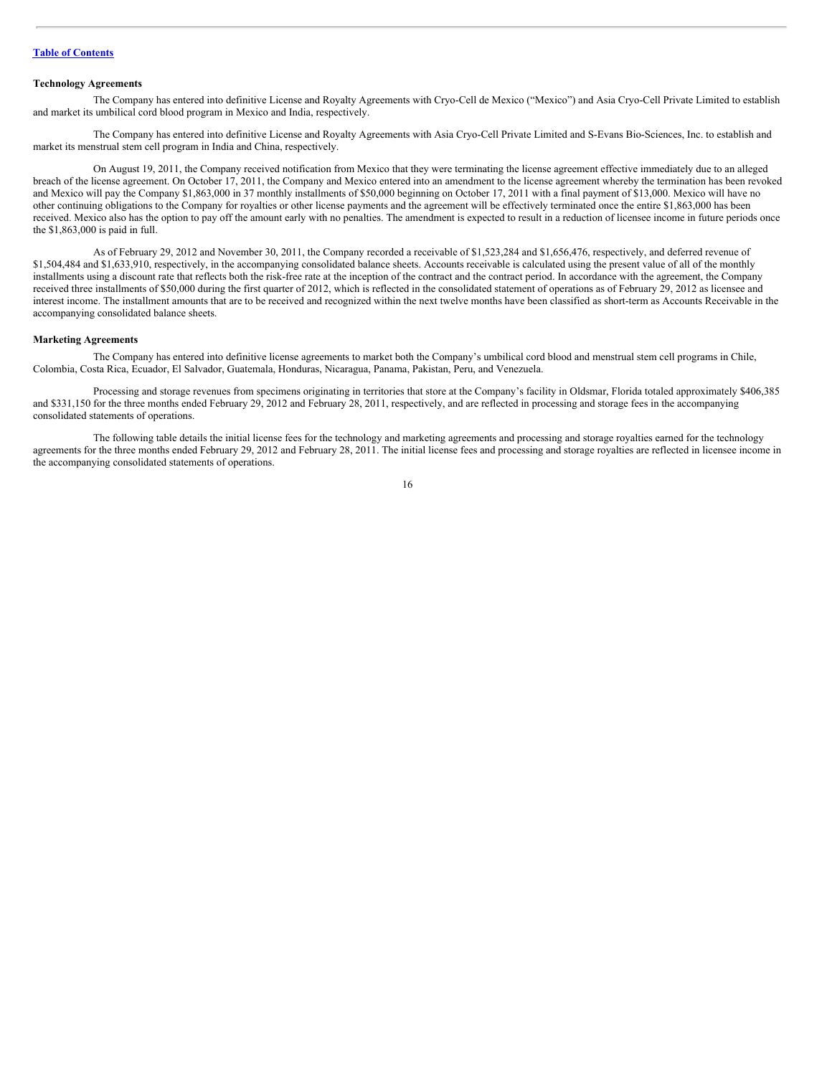# **Technology Agreements**

The Company has entered into definitive License and Royalty Agreements with Cryo-Cell de Mexico ("Mexico") and Asia Cryo-Cell Private Limited to establish and market its umbilical cord blood program in Mexico and India, respectively.

The Company has entered into definitive License and Royalty Agreements with Asia Cryo-Cell Private Limited and S-Evans Bio-Sciences, Inc. to establish and market its menstrual stem cell program in India and China, respectively.

On August 19, 2011, the Company received notification from Mexico that they were terminating the license agreement effective immediately due to an alleged breach of the license agreement. On October 17, 2011, the Company and Mexico entered into an amendment to the license agreement whereby the termination has been revoked and Mexico will pay the Company \$1,863,000 in 37 monthly installments of \$50,000 beginning on October 17, 2011 with a final payment of \$13,000. Mexico will have no other continuing obligations to the Company for royalties or other license payments and the agreement will be effectively terminated once the entire \$1,863,000 has been received. Mexico also has the option to pay off the amount early with no penalties. The amendment is expected to result in a reduction of licensee income in future periods once the \$1,863,000 is paid in full.

As of February 29, 2012 and November 30, 2011, the Company recorded a receivable of \$1,523,284 and \$1,656,476, respectively, and deferred revenue of \$1,504,484 and \$1,633,910, respectively, in the accompanying consolidated balance sheets. Accounts receivable is calculated using the present value of all of the monthly installments using a discount rate that reflects both the risk-free rate at the inception of the contract and the contract period. In accordance with the agreement, the Company received three installments of \$50,000 during the first quarter of 2012, which is reflected in the consolidated statement of operations as of February 29, 2012 as licensee and interest income. The installment amounts that are to be received and recognized within the next twelve months have been classified as short-term as Accounts Receivable in the accompanying consolidated balance sheets.

#### **Marketing Agreements**

The Company has entered into definitive license agreements to market both the Company's umbilical cord blood and menstrual stem cell programs in Chile, Colombia, Costa Rica, Ecuador, El Salvador, Guatemala, Honduras, Nicaragua, Panama, Pakistan, Peru, and Venezuela.

Processing and storage revenues from specimens originating in territories that store at the Company's facility in Oldsmar, Florida totaled approximately \$406,385 and \$331,150 for the three months ended February 29, 2012 and February 28, 2011, respectively, and are reflected in processing and storage fees in the accompanying consolidated statements of operations.

The following table details the initial license fees for the technology and marketing agreements and processing and storage royalties earned for the technology agreements for the three months ended February 29, 2012 and February 28, 2011. The initial license fees and processing and storage royalties are reflected in licensee income in the accompanying consolidated statements of operations.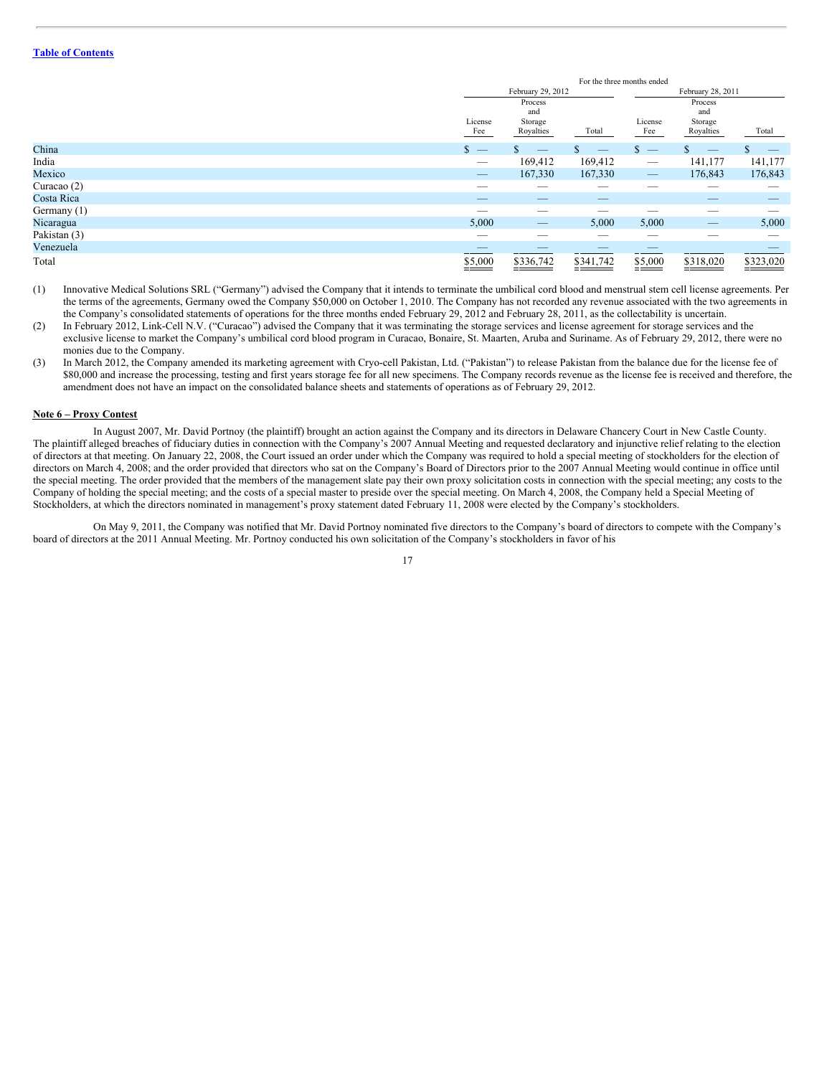|               | For the three months ended                                                                                                                                                                                                                                                                                                                                                                    |                                        |                                 |                                 |                                        |           |
|---------------|-----------------------------------------------------------------------------------------------------------------------------------------------------------------------------------------------------------------------------------------------------------------------------------------------------------------------------------------------------------------------------------------------|----------------------------------------|---------------------------------|---------------------------------|----------------------------------------|-----------|
|               | February 29, 2012<br>February 28, 2011                                                                                                                                                                                                                                                                                                                                                        |                                        |                                 |                                 |                                        |           |
|               | License<br>Fee                                                                                                                                                                                                                                                                                                                                                                                | Process<br>and<br>Storage<br>Royalties | Total                           | License<br>Fee                  | Process<br>and<br>Storage<br>Royalties | Total     |
| China         | $s -$                                                                                                                                                                                                                                                                                                                                                                                         |                                        |                                 | $\mathbf{S}$                    |                                        | --        |
| India         |                                                                                                                                                                                                                                                                                                                                                                                               | 169,412                                | 169,412                         | $\hspace{0.1mm}-\hspace{0.1mm}$ | 141,177                                | 141,177   |
| Mexico        | $\hspace{1.0cm} \overline{\hspace{1.0cm} \hspace{1.0cm} \hspace{1.0cm} } \hspace{1.0cm} \hspace{1.0cm} \overline{\hspace{1.0cm} \hspace{1.0cm} \hspace{1.0cm} } \hspace{1.0cm} \hspace{1.0cm} \overline{\hspace{1.0cm} \hspace{1.0cm} \hspace{1.0cm} } \hspace{1.0cm} \hspace{1.0cm} \overline{\hspace{1.0cm} \hspace{1.0cm} \hspace{1.0cm} } \hspace{1.0cm} \hspace{1.0cm} \hspace{1.0cm} }$ | 167,330                                | 167,330                         | $\overline{\phantom{m}}$        | 176,843                                | 176,843   |
| Curacao $(2)$ |                                                                                                                                                                                                                                                                                                                                                                                               |                                        | _                               |                                 | $\overline{\phantom{a}}$               | _         |
| Costa Rica    | $-$                                                                                                                                                                                                                                                                                                                                                                                           | $\hspace{0.1mm}-\hspace{0.1mm}$        | $\hspace{0.1mm}-\hspace{0.1mm}$ |                                 |                                        |           |
| Germany (1)   |                                                                                                                                                                                                                                                                                                                                                                                               | _                                      |                                 |                                 | _                                      |           |
| Nicaragua     | 5,000                                                                                                                                                                                                                                                                                                                                                                                         | $\qquad \qquad - \qquad$               | 5,000                           | 5,000                           |                                        | 5,000     |
| Pakistan (3)  | -                                                                                                                                                                                                                                                                                                                                                                                             | --                                     | _                               |                                 |                                        | --        |
| Venezuela     |                                                                                                                                                                                                                                                                                                                                                                                               |                                        |                                 |                                 |                                        |           |
| Total         | \$5,000                                                                                                                                                                                                                                                                                                                                                                                       | \$336,742                              | \$341,742                       | \$5,000                         | \$318,020                              | \$323,020 |

(1) Innovative Medical Solutions SRL ("Germany") advised the Company that it intends to terminate the umbilical cord blood and menstrual stem cell license agreements. Per the terms of the agreements, Germany owed the Company \$50,000 on October 1, 2010. The Company has not recorded any revenue associated with the two agreements in the Company's consolidated statements of operations for the three months ended February 29, 2012 and February 28, 2011, as the collectability is uncertain.

(2) In February 2012, Link-Cell N.V. ("Curacao") advised the Company that it was terminating the storage services and license agreement for storage services and the exclusive license to market the Company's umbilical cord blood program in Curacao, Bonaire, St. Maarten, Aruba and Suriname. As of February 29, 2012, there were no monies due to the Company.

(3) In March 2012, the Company amended its marketing agreement with Cryo-cell Pakistan, Ltd. ("Pakistan") to release Pakistan from the balance due for the license fee of \$80,000 and increase the processing, testing and first years storage fee for all new specimens. The Company records revenue as the license fee is received and therefore, the amendment does not have an impact on the consolidated balance sheets and statements of operations as of February 29, 2012.

#### **Note 6 – Proxy Contest**

In August 2007, Mr. David Portnoy (the plaintiff) brought an action against the Company and its directors in Delaware Chancery Court in New Castle County. The plaintiff alleged breaches of fiduciary duties in connection with the Company's 2007 Annual Meeting and requested declaratory and injunctive relief relating to the election of directors at that meeting. On January 22, 2008, the Court issued an order under which the Company was required to hold a special meeting of stockholders for the election of directors on March 4, 2008; and the order provided that directors who sat on the Company's Board of Directors prior to the 2007 Annual Meeting would continue in office until the special meeting. The order provided that the members of the management slate pay their own proxy solicitation costs in connection with the special meeting; any costs to the Company of holding the special meeting; and the costs of a special master to preside over the special meeting. On March 4, 2008, the Company held a Special Meeting of Stockholders, at which the directors nominated in management's proxy statement dated February 11, 2008 were elected by the Company's stockholders.

On May 9, 2011, the Company was notified that Mr. David Portnoy nominated five directors to the Company's board of directors to compete with the Company's board of directors at the 2011 Annual Meeting. Mr. Portnoy conducted his own solicitation of the Company's stockholders in favor of his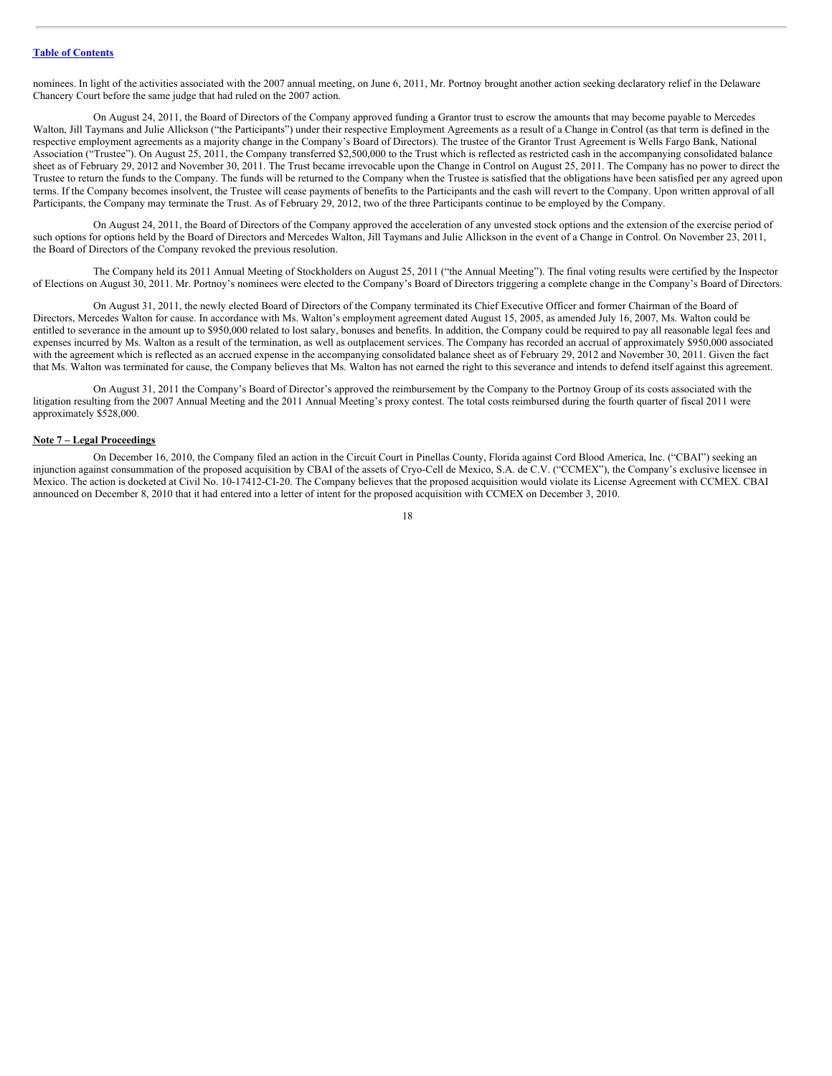nominees. In light of the activities associated with the 2007 annual meeting, on June 6, 2011, Mr. Portnoy brought another action seeking declaratory relief in the Delaware Chancery Court before the same judge that had ruled on the 2007 action.

On August 24, 2011, the Board of Directors of the Company approved funding a Grantor trust to escrow the amounts that may become payable to Mercedes Walton, Jill Taymans and Julie Allickson ("the Participants") under their respective Employment Agreements as a result of a Change in Control (as that term is defined in the respective employment agreements as a majority change in the Company's Board of Directors). The trustee of the Grantor Trust Agreement is Wells Fargo Bank, National Association ("Trustee"). On August 25, 2011, the Company transferred \$2,500,000 to the Trust which is reflected as restricted cash in the accompanying consolidated balance sheet as of February 29, 2012 and November 30, 2011. The Trust became irrevocable upon the Change in Control on August 25, 2011. The Company has no power to direct the Trustee to return the funds to the Company. The funds will be returned to the Company when the Trustee is satisfied that the obligations have been satisfied per any agreed upon terms. If the Company becomes insolvent, the Trustee will cease payments of benefits to the Participants and the cash will revert to the Company. Upon written approval of all Participants, the Company may terminate the Trust. As of February 29, 2012, two of the three Participants continue to be employed by the Company.

On August 24, 2011, the Board of Directors of the Company approved the acceleration of any unvested stock options and the extension of the exercise period of such options for options held by the Board of Directors and Mercedes Walton, Jill Taymans and Julie Allickson in the event of a Change in Control. On November 23, 2011, the Board of Directors of the Company revoked the previous resolution.

The Company held its 2011 Annual Meeting of Stockholders on August 25, 2011 ("the Annual Meeting"). The final voting results were certified by the Inspector of Elections on August 30, 2011. Mr. Portnoy's nominees were elected to the Company's Board of Directors triggering a complete change in the Company's Board of Directors.

On August 31, 2011, the newly elected Board of Directors of the Company terminated its Chief Executive Officer and former Chairman of the Board of Directors, Mercedes Walton for cause. In accordance with Ms. Walton's employment agreement dated August 15, 2005, as amended July 16, 2007, Ms. Walton could be entitled to severance in the amount up to \$950,000 related to lost salary, bonuses and benefits. In addition, the Company could be required to pay all reasonable legal fees and expenses incurred by Ms. Walton as a result of the termination, as well as outplacement services. The Company has recorded an accrual of approximately \$950,000 associated with the agreement which is reflected as an accrued expense in the accompanying consolidated balance sheet as of February 29, 2012 and November 30, 2011. Given the fact that Ms. Walton was terminated for cause, the Company believes that Ms. Walton has not earned the right to this severance and intends to defend itself against this agreement.

On August 31, 2011 the Company's Board of Director's approved the reimbursement by the Company to the Portnoy Group of its costs associated with the litigation resulting from the 2007 Annual Meeting and the 2011 Annual Meeting's proxy contest. The total costs reimbursed during the fourth quarter of fiscal 2011 were approximately \$528,000.

#### **Note 7 – Legal Proceedings**

On December 16, 2010, the Company filed an action in the Circuit Court in Pinellas County, Florida against Cord Blood America, Inc. ("CBAI") seeking an injunction against consummation of the proposed acquisition by CBAI of the assets of Cryo-Cell de Mexico, S.A. de C.V. ("CCMEX"), the Company's exclusive licensee in Mexico. The action is docketed at Civil No. 10-17412-CI-20. The Company believes that the proposed acquisition would violate its License Agreement with CCMEX. CBAI announced on December 8, 2010 that it had entered into a letter of intent for the proposed acquisition with CCMEX on December 3, 2010.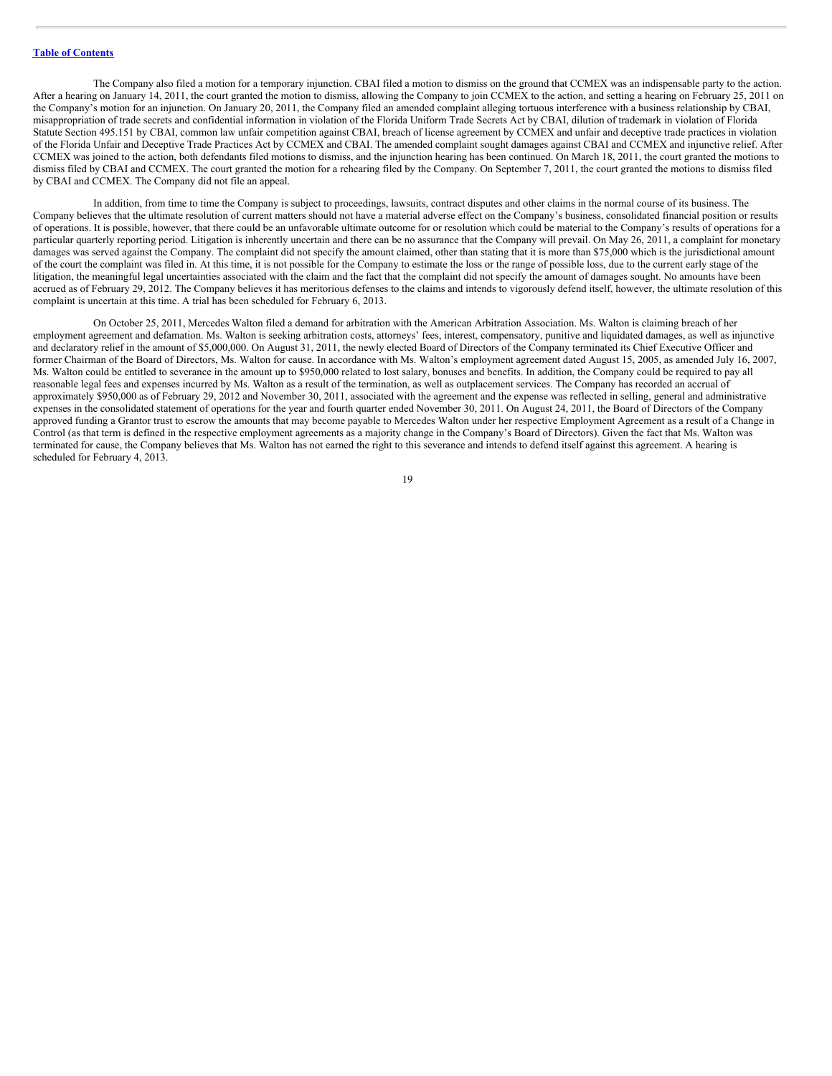The Company also filed a motion for a temporary injunction. CBAI filed a motion to dismiss on the ground that CCMEX was an indispensable party to the action. After a hearing on January 14, 2011, the court granted the motion to dismiss, allowing the Company to join CCMEX to the action, and setting a hearing on February 25, 2011 on the Company's motion for an injunction. On January 20, 2011, the Company filed an amended complaint alleging tortuous interference with a business relationship by CBAI, misappropriation of trade secrets and confidential information in violation of the Florida Uniform Trade Secrets Act by CBAI, dilution of trademark in violation of Florida Statute Section 495.151 by CBAI, common law unfair competition against CBAI, breach of license agreement by CCMEX and unfair and deceptive trade practices in violation of the Florida Unfair and Deceptive Trade Practices Act by CCMEX and CBAI. The amended complaint sought damages against CBAI and CCMEX and injunctive relief. After CCMEX was joined to the action, both defendants filed motions to dismiss, and the injunction hearing has been continued. On March 18, 2011, the court granted the motions to dismiss filed by CBAI and CCMEX. The court granted the motion for a rehearing filed by the Company. On September 7, 2011, the court granted the motions to dismiss filed by CBAI and CCMEX. The Company did not file an appeal.

In addition, from time to time the Company is subject to proceedings, lawsuits, contract disputes and other claims in the normal course of its business. The Company believes that the ultimate resolution of current matters should not have a material adverse effect on the Company's business, consolidated financial position or results of operations. It is possible, however, that there could be an unfavorable ultimate outcome for or resolution which could be material to the Company's results of operations for a particular quarterly reporting period. Litigation is inherently uncertain and there can be no assurance that the Company will prevail. On May 26, 2011, a complaint for monetary damages was served against the Company. The complaint did not specify the amount claimed, other than stating that it is more than \$75,000 which is the jurisdictional amount of the court the complaint was filed in. At this time, it is not possible for the Company to estimate the loss or the range of possible loss, due to the current early stage of the litigation, the meaningful legal uncertainties associated with the claim and the fact that the complaint did not specify the amount of damages sought. No amounts have been accrued as of February 29, 2012. The Company believes it has meritorious defenses to the claims and intends to vigorously defend itself, however, the ultimate resolution of this complaint is uncertain at this time. A trial has been scheduled for February 6, 2013.

On October 25, 2011, Mercedes Walton filed a demand for arbitration with the American Arbitration Association. Ms. Walton is claiming breach of her employment agreement and defamation. Ms. Walton is seeking arbitration costs, attorneys' fees, interest, compensatory, punitive and liquidated damages, as well as injunctive and declaratory relief in the amount of \$5,000,000. On August 31, 2011, the newly elected Board of Directors of the Company terminated its Chief Executive Officer and former Chairman of the Board of Directors, Ms. Walton for cause. In accordance with Ms. Walton's employment agreement dated August 15, 2005, as amended July 16, 2007, Ms. Walton could be entitled to severance in the amount up to \$950,000 related to lost salary, bonuses and benefits. In addition, the Company could be required to pay all reasonable legal fees and expenses incurred by Ms. Walton as a result of the termination, as well as outplacement services. The Company has recorded an accrual of approximately \$950,000 as of February 29, 2012 and November 30, 2011, associated with the agreement and the expense was reflected in selling, general and administrative expenses in the consolidated statement of operations for the year and fourth quarter ended November 30, 2011. On August 24, 2011, the Board of Directors of the Company approved funding a Grantor trust to escrow the amounts that may become payable to Mercedes Walton under her respective Employment Agreement as a result of a Change in Control (as that term is defined in the respective employment agreements as a majority change in the Company's Board of Directors). Given the fact that Ms. Walton was terminated for cause, the Company believes that Ms. Walton has not earned the right to this severance and intends to defend itself against this agreement. A hearing is scheduled for February 4, 2013.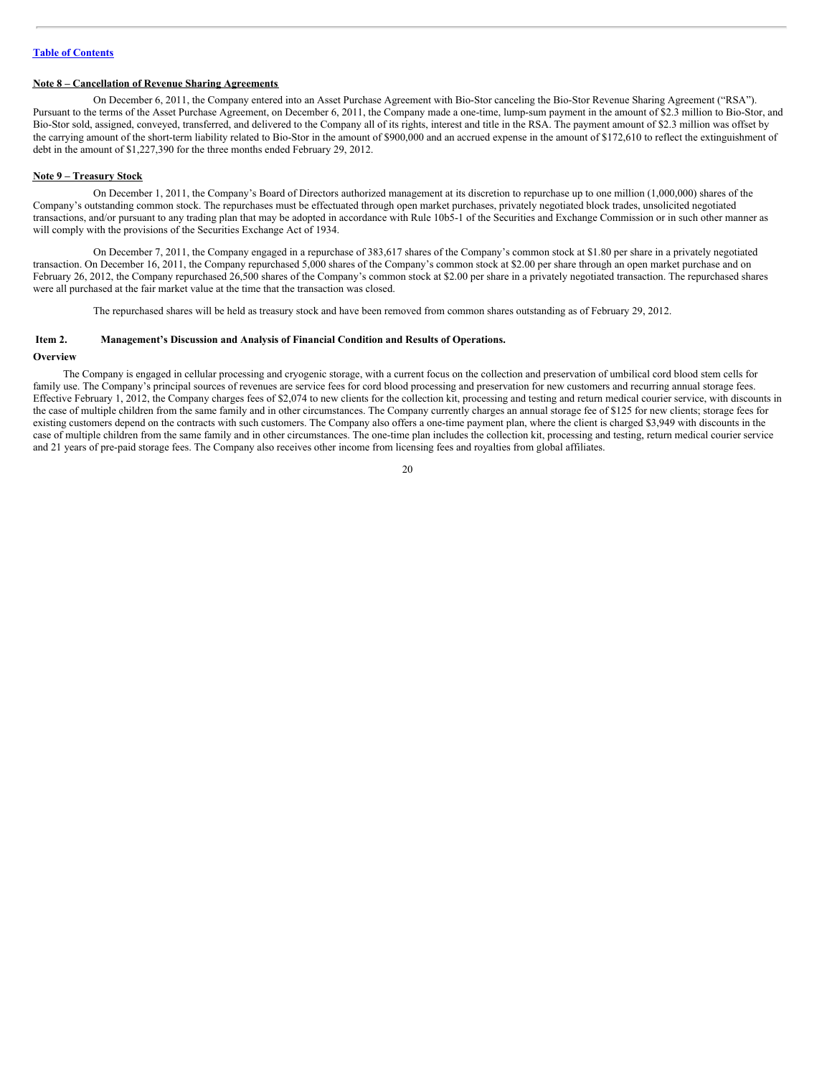# **Note 8 – Cancellation of Revenue Sharing Agreements**

On December 6, 2011, the Company entered into an Asset Purchase Agreement with Bio-Stor canceling the Bio-Stor Revenue Sharing Agreement ("RSA"). Pursuant to the terms of the Asset Purchase Agreement, on December 6, 2011, the Company made a one-time, lump-sum payment in the amount of \$2.3 million to Bio-Stor, and Bio-Stor sold, assigned, conveyed, transferred, and delivered to the Company all of its rights, interest and title in the RSA. The payment amount of \$2.3 million was offset by the carrying amount of the short-term liability related to Bio-Stor in the amount of \$900,000 and an accrued expense in the amount of \$172,610 to reflect the extinguishment of debt in the amount of \$1,227,390 for the three months ended February 29, 2012.

#### **Note 9 – Treasury Stock**

On December 1, 2011, the Company's Board of Directors authorized management at its discretion to repurchase up to one million (1,000,000) shares of the Company's outstanding common stock. The repurchases must be effectuated through open market purchases, privately negotiated block trades, unsolicited negotiated transactions, and/or pursuant to any trading plan that may be adopted in accordance with Rule 10b5-1 of the Securities and Exchange Commission or in such other manner as will comply with the provisions of the Securities Exchange Act of 1934.

On December 7, 2011, the Company engaged in a repurchase of 383,617 shares of the Company's common stock at \$1.80 per share in a privately negotiated transaction. On December 16, 2011, the Company repurchased 5,000 shares of the Company's common stock at \$2.00 per share through an open market purchase and on February 26, 2012, the Company repurchased 26,500 shares of the Company's common stock at \$2.00 per share in a privately negotiated transaction. The repurchased shares were all purchased at the fair market value at the time that the transaction was closed.

The repurchased shares will be held as treasury stock and have been removed from common shares outstanding as of February 29, 2012.

#### <span id="page-19-0"></span>**Item 2. Management's Discussion and Analysis of Financial Condition and Results of Operations.**

#### **Overview**

The Company is engaged in cellular processing and cryogenic storage, with a current focus on the collection and preservation of umbilical cord blood stem cells for family use. The Company's principal sources of revenues are service fees for cord blood processing and preservation for new customers and recurring annual storage fees. Effective February 1, 2012, the Company charges fees of \$2,074 to new clients for the collection kit, processing and testing and return medical courier service, with discounts in the case of multiple children from the same family and in other circumstances. The Company currently charges an annual storage fee of \$125 for new clients; storage fees for existing customers depend on the contracts with such customers. The Company also offers a one-time payment plan, where the client is charged \$3,949 with discounts in the case of multiple children from the same family and in other circumstances. The one-time plan includes the collection kit, processing and testing, return medical courier service and 21 years of pre-paid storage fees. The Company also receives other income from licensing fees and royalties from global affiliates.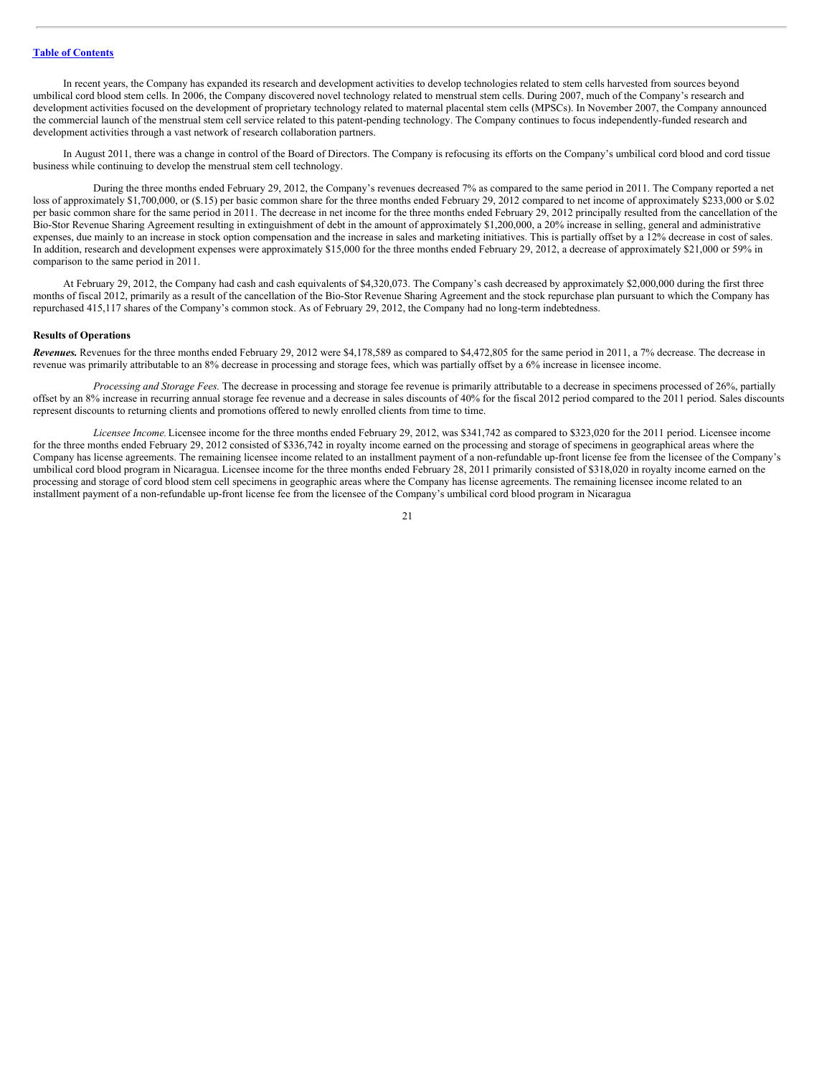In recent years, the Company has expanded its research and development activities to develop technologies related to stem cells harvested from sources beyond umbilical cord blood stem cells. In 2006, the Company discovered novel technology related to menstrual stem cells. During 2007, much of the Company's research and development activities focused on the development of proprietary technology related to maternal placental stem cells (MPSCs). In November 2007, the Company announced the commercial launch of the menstrual stem cell service related to this patent-pending technology. The Company continues to focus independently-funded research and development activities through a vast network of research collaboration partners.

In August 2011, there was a change in control of the Board of Directors. The Company is refocusing its efforts on the Company's umbilical cord blood and cord tissue business while continuing to develop the menstrual stem cell technology.

During the three months ended February 29, 2012, the Company's revenues decreased 7% as compared to the same period in 2011. The Company reported a net loss of approximately \$1,700,000, or (\$.15) per basic common share for the three months ended February 29, 2012 compared to net income of approximately \$233,000 or \$.02 per basic common share for the same period in 2011. The decrease in net income for the three months ended February 29, 2012 principally resulted from the cancellation of the Bio-Stor Revenue Sharing Agreement resulting in extinguishment of debt in the amount of approximately \$1,200,000, a 20% increase in selling, general and administrative expenses, due mainly to an increase in stock option compensation and the increase in sales and marketing initiatives. This is partially offset by a 12% decrease in cost of sales. In addition, research and development expenses were approximately \$15,000 for the three months ended February 29, 2012, a decrease of approximately \$21,000 or 59% in comparison to the same period in 2011.

At February 29, 2012, the Company had cash and cash equivalents of \$4,320,073. The Company's cash decreased by approximately \$2,000,000 during the first three months of fiscal 2012, primarily as a result of the cancellation of the Bio-Stor Revenue Sharing Agreement and the stock repurchase plan pursuant to which the Company has repurchased 415,117 shares of the Company's common stock. As of February 29, 2012, the Company had no long-term indebtedness.

#### **Results of Operations**

*Revenues.* Revenues for the three months ended February 29, 2012 were \$4,178,589 as compared to \$4,472,805 for the same period in 2011, a 7% decrease. The decrease in revenue was primarily attributable to an 8% decrease in processing and storage fees, which was partially offset by a 6% increase in licensee income.

*Processing and Storage Fees.* The decrease in processing and storage fee revenue is primarily attributable to a decrease in specimens processed of 26%, partially offset by an 8% increase in recurring annual storage fee revenue and a decrease in sales discounts of 40% for the fiscal 2012 period compared to the 2011 period. Sales discounts represent discounts to returning clients and promotions offered to newly enrolled clients from time to time.

*Licensee Income.*Licensee income for the three months ended February 29, 2012, was \$341,742 as compared to \$323,020 for the 2011 period. Licensee income for the three months ended February 29, 2012 consisted of \$336,742 in royalty income earned on the processing and storage of specimens in geographical areas where the Company has license agreements. The remaining licensee income related to an installment payment of a non-refundable up-front license fee from the licensee of the Company's umbilical cord blood program in Nicaragua. Licensee income for the three months ended February 28, 2011 primarily consisted of \$318,020 in royalty income earned on the processing and storage of cord blood stem cell specimens in geographic areas where the Company has license agreements. The remaining licensee income related to an installment payment of a non-refundable up-front license fee from the licensee of the Company's umbilical cord blood program in Nicaragua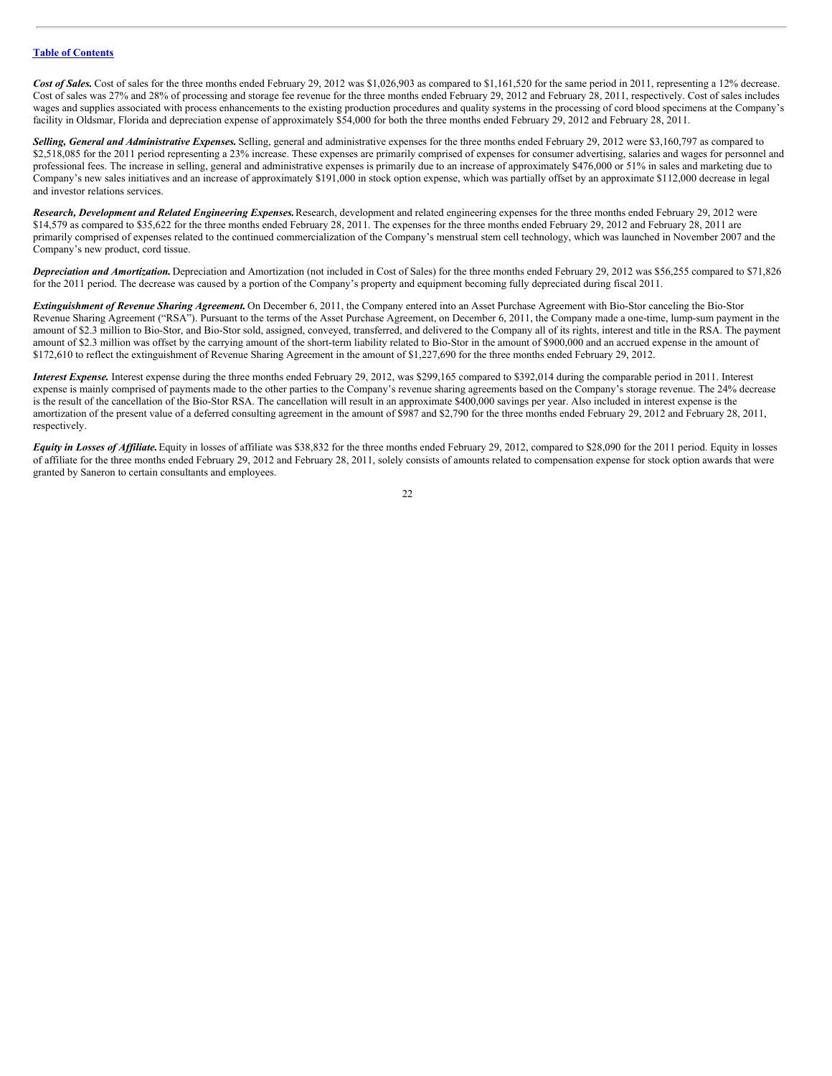Cost of Sales. Cost of sales for the three months ended February 29, 2012 was \$1,026,903 as compared to \$1,161,520 for the same period in 2011, representing a 12% decrease. Cost of sales was 27% and 28% of processing and storage fee revenue for the three months ended February 29, 2012 and February 28, 2011, respectively. Cost of sales includes wages and supplies associated with process enhancements to the existing production procedures and quality systems in the processing of cord blood specimens at the Company's facility in Oldsmar, Florida and depreciation expense of approximately \$54,000 for both the three months ended February 29, 2012 and February 28, 2011.

*Selling, General and Administrative Expenses.* Selling, general and administrative expenses for the three months ended February 29, 2012 were \$3,160,797 as compared to \$2,518,085 for the 2011 period representing a 23% increase. These expenses are primarily comprised of expenses for consumer advertising, salaries and wages for personnel and professional fees. The increase in selling, general and administrative expenses is primarily due to an increase of approximately \$476,000 or 51% in sales and marketing due to Company's new sales initiatives and an increase of approximately \$191,000 in stock option expense, which was partially offset by an approximate \$112,000 decrease in legal and investor relations services.

*Research, Development and Related Engineering Expenses.*Research, development and related engineering expenses for the three months ended February 29, 2012 were \$14,579 as compared to \$35,622 for the three months ended February 28, 2011. The expenses for the three months ended February 29, 2012 and February 28, 2011 are primarily comprised of expenses related to the continued commercialization of the Company's menstrual stem cell technology, which was launched in November 2007 and the Company's new product, cord tissue.

*Depreciation and Amortization.* Depreciation and Amortization (not included in Cost of Sales) for the three months ended February 29, 2012 was \$56,255 compared to \$71,826 for the 2011 period. The decrease was caused by a portion of the Company's property and equipment becoming fully depreciated during fiscal 2011.

*Extinguishment of Revenue Sharing Agreement.* On December 6, 2011, the Company entered into an Asset Purchase Agreement with Bio-Stor canceling the Bio-Stor Revenue Sharing Agreement ("RSA"). Pursuant to the terms of the Asset Purchase Agreement, on December 6, 2011, the Company made a one-time, lump-sum payment in the amount of \$2.3 million to Bio-Stor, and Bio-Stor sold, assigned, conveyed, transferred, and delivered to the Company all of its rights, interest and title in the RSA. The payment amount of \$2.3 million was offset by the carrying amount of the short-term liability related to Bio-Stor in the amount of \$900,000 and an accrued expense in the amount of \$172,610 to reflect the extinguishment of Revenue Sharing Agreement in the amount of \$1,227,690 for the three months ended February 29, 2012.

*Interest Expense.* Interest expense during the three months ended February 29, 2012, was \$299,165 compared to \$392,014 during the comparable period in 2011. Interest expense is mainly comprised of payments made to the other parties to the Company's revenue sharing agreements based on the Company's storage revenue. The 24% decrease is the result of the cancellation of the Bio-Stor RSA. The cancellation will result in an approximate \$400,000 savings per year. Also included in interest expense is the amortization of the present value of a deferred consulting agreement in the amount of \$987 and \$2,790 for the three months ended February 29, 2012 and February 28, 2011, respectively.

*Equity in Losses of Af iliate.*Equity in losses of affiliate was \$38,832 for the three months ended February 29, 2012, compared to \$28,090 for the 2011 period. Equity in losses of affiliate for the three months ended February 29, 2012 and February 28, 2011, solely consists of amounts related to compensation expense for stock option awards that were granted by Saneron to certain consultants and employees.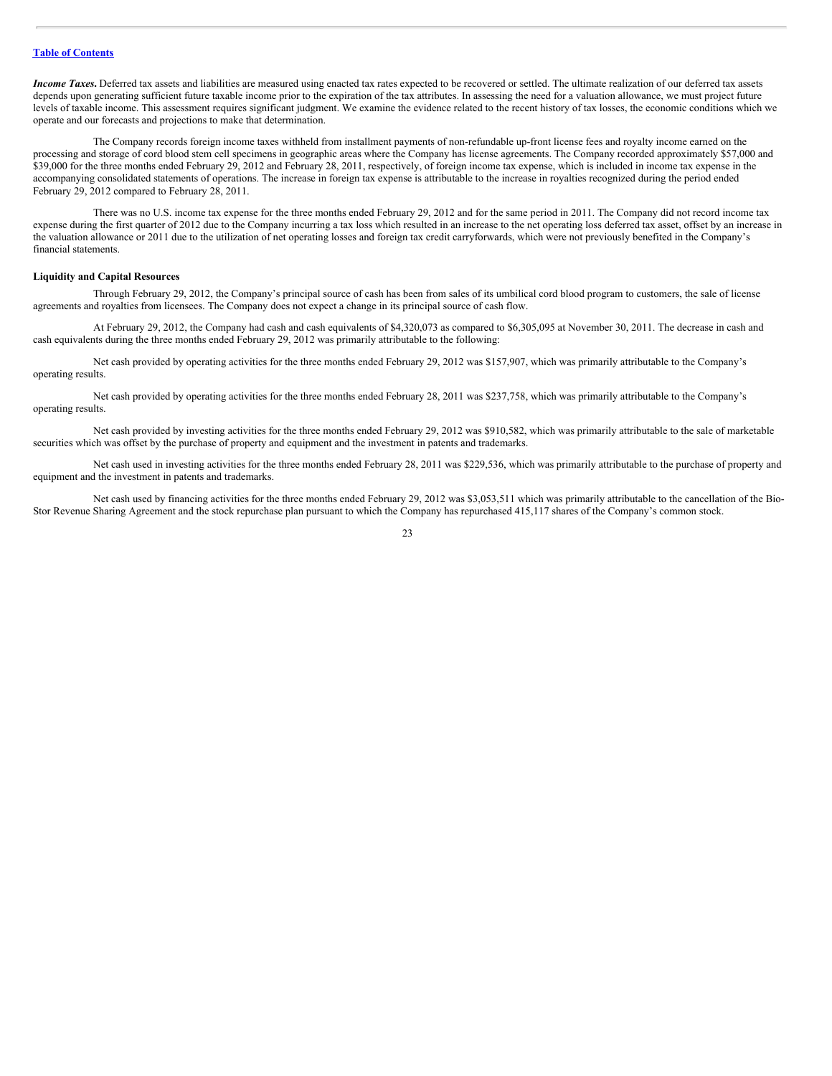*Income Taxes*. Deferred tax assets and liabilities are measured using enacted tax rates expected to be recovered or settled. The ultimate realization of our deferred tax assets depends upon generating sufficient future taxable income prior to the expiration of the tax attributes. In assessing the need for a valuation allowance, we must project future levels of taxable income. This assessment requires significant judgment. We examine the evidence related to the recent history of tax losses, the economic conditions which we operate and our forecasts and projections to make that determination.

The Company records foreign income taxes withheld from installment payments of non-refundable up-front license fees and royalty income earned on the processing and storage of cord blood stem cell specimens in geographic areas where the Company has license agreements. The Company recorded approximately \$57,000 and \$39,000 for the three months ended February 29, 2012 and February 28, 2011, respectively, of foreign income tax expense, which is included in income tax expense in the accompanying consolidated statements of operations. The increase in foreign tax expense is attributable to the increase in royalties recognized during the period ended February 29, 2012 compared to February 28, 2011.

There was no U.S. income tax expense for the three months ended February 29, 2012 and for the same period in 2011. The Company did not record income tax expense during the first quarter of 2012 due to the Company incurring a tax loss which resulted in an increase to the net operating loss deferred tax asset, offset by an increase in the valuation allowance or 2011 due to the utilization of net operating losses and foreign tax credit carryforwards, which were not previously benefited in the Company's financial statements.

#### **Liquidity and Capital Resources**

Through February 29, 2012, the Company's principal source of cash has been from sales of its umbilical cord blood program to customers, the sale of license agreements and royalties from licensees. The Company does not expect a change in its principal source of cash flow.

At February 29, 2012, the Company had cash and cash equivalents of \$4,320,073 as compared to \$6,305,095 at November 30, 2011. The decrease in cash and cash equivalents during the three months ended February 29, 2012 was primarily attributable to the following:

Net cash provided by operating activities for the three months ended February 29, 2012 was \$157,907, which was primarily attributable to the Company's operating results.

Net cash provided by operating activities for the three months ended February 28, 2011 was \$237,758, which was primarily attributable to the Company's operating results.

Net cash provided by investing activities for the three months ended February 29, 2012 was \$910,582, which was primarily attributable to the sale of marketable securities which was offset by the purchase of property and equipment and the investment in patents and trademarks.

Net cash used in investing activities for the three months ended February 28, 2011 was \$229,536, which was primarily attributable to the purchase of property and equipment and the investment in patents and trademarks.

Net cash used by financing activities for the three months ended February 29, 2012 was \$3,053,511 which was primarily attributable to the cancellation of the Bio-Stor Revenue Sharing Agreement and the stock repurchase plan pursuant to which the Company has repurchased 415,117 shares of the Company's common stock.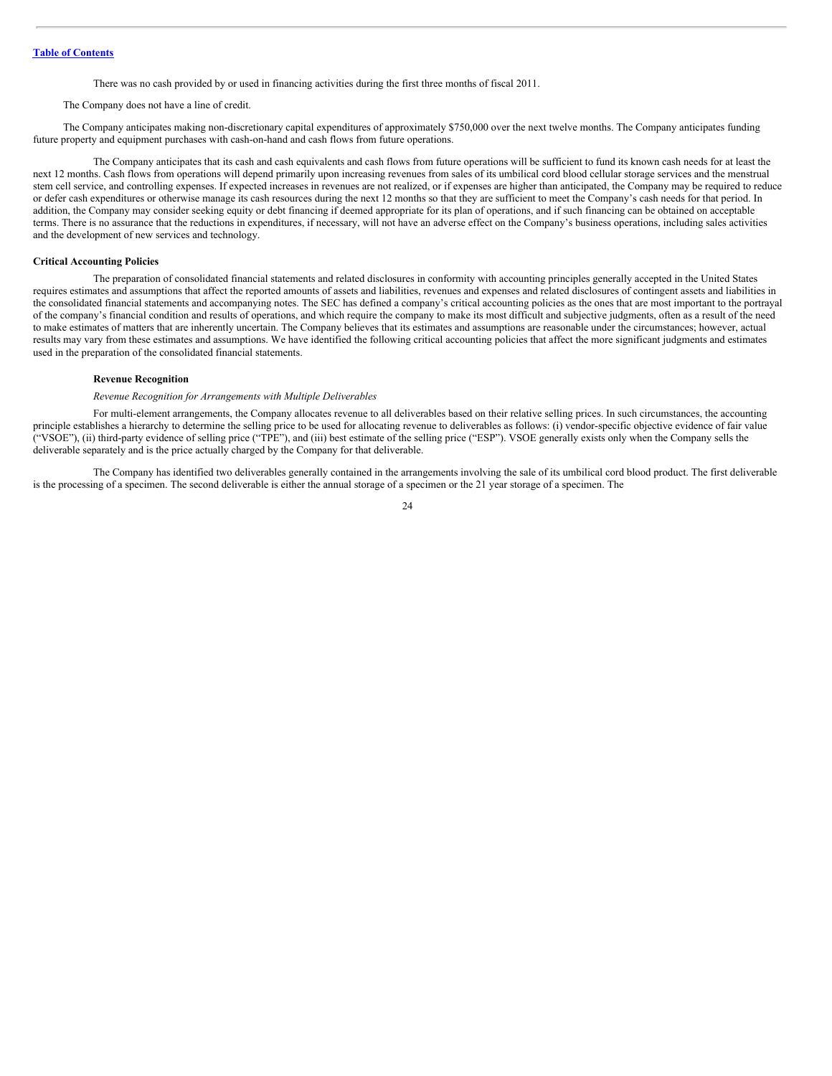There was no cash provided by or used in financing activities during the first three months of fiscal 2011.

#### The Company does not have a line of credit.

The Company anticipates making non-discretionary capital expenditures of approximately \$750,000 over the next twelve months. The Company anticipates funding future property and equipment purchases with cash-on-hand and cash flows from future operations.

The Company anticipates that its cash and cash equivalents and cash flows from future operations will be sufficient to fund its known cash needs for at least the next 12 months. Cash flows from operations will depend primarily upon increasing revenues from sales of its umbilical cord blood cellular storage services and the menstrual stem cell service, and controlling expenses. If expected increases in revenues are not realized, or if expenses are higher than anticipated, the Company may be required to reduce or defer cash expenditures or otherwise manage its cash resources during the next 12 months so that they are sufficient to meet the Company's cash needs for that period. In addition, the Company may consider seeking equity or debt financing if deemed appropriate for its plan of operations, and if such financing can be obtained on acceptable terms. There is no assurance that the reductions in expenditures, if necessary, will not have an adverse effect on the Company's business operations, including sales activities and the development of new services and technology.

#### **Critical Accounting Policies**

The preparation of consolidated financial statements and related disclosures in conformity with accounting principles generally accepted in the United States requires estimates and assumptions that affect the reported amounts of assets and liabilities, revenues and expenses and related disclosures of contingent assets and liabilities in the consolidated financial statements and accompanying notes. The SEC has defined a company's critical accounting policies as the ones that are most important to the portrayal of the company's financial condition and results of operations, and which require the company to make its most difficult and subjective judgments, often as a result of the need to make estimates of matters that are inherently uncertain. The Company believes that its estimates and assumptions are reasonable under the circumstances; however, actual results may vary from these estimates and assumptions. We have identified the following critical accounting policies that affect the more significant judgments and estimates used in the preparation of the consolidated financial statements.

#### **Revenue Recognition**

# *Revenue Recognition for Arrangements with Multiple Deliverables*

For multi-element arrangements, the Company allocates revenue to all deliverables based on their relative selling prices. In such circumstances, the accounting principle establishes a hierarchy to determine the selling price to be used for allocating revenue to deliverables as follows: (i) vendor-specific objective evidence of fair value ("VSOE"), (ii) third-party evidence of selling price ("TPE"), and (iii) best estimate of the selling price ("ESP"). VSOE generally exists only when the Company sells the deliverable separately and is the price actually charged by the Company for that deliverable.

The Company has identified two deliverables generally contained in the arrangements involving the sale of its umbilical cord blood product. The first deliverable is the processing of a specimen. The second deliverable is either the annual storage of a specimen or the 21 year storage of a specimen. The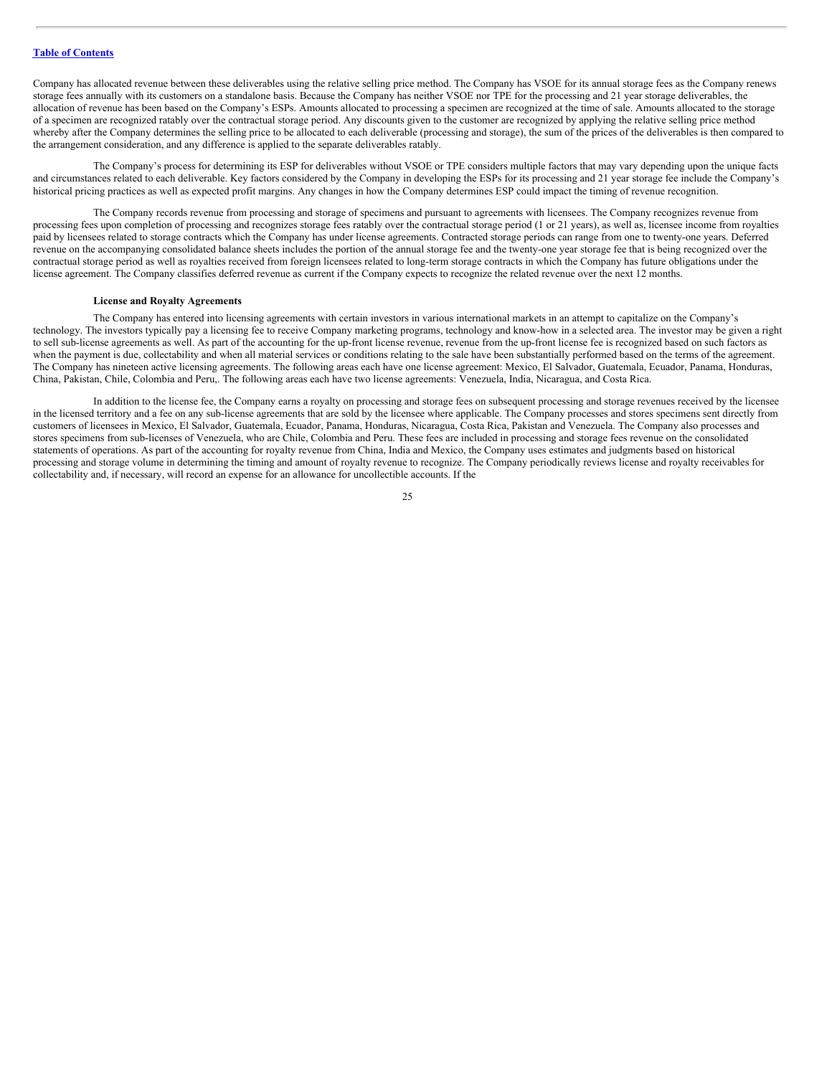Company has allocated revenue between these deliverables using the relative selling price method. The Company has VSOE for its annual storage fees as the Company renews storage fees annually with its customers on a standalone basis. Because the Company has neither VSOE nor TPE for the processing and 21 year storage deliverables, the allocation of revenue has been based on the Company's ESPs. Amounts allocated to processing a specimen are recognized at the time of sale. Amounts allocated to the storage of a specimen are recognized ratably over the contractual storage period. Any discounts given to the customer are recognized by applying the relative selling price method whereby after the Company determines the selling price to be allocated to each deliverable (processing and storage), the sum of the prices of the deliverables is then compared to the arrangement consideration, and any difference is applied to the separate deliverables ratably.

The Company's process for determining its ESP for deliverables without VSOE or TPE considers multiple factors that may vary depending upon the unique facts and circumstances related to each deliverable. Key factors considered by the Company in developing the ESPs for its processing and 21 year storage fee include the Company's historical pricing practices as well as expected profit margins. Any changes in how the Company determines ESP could impact the timing of revenue recognition.

The Company records revenue from processing and storage of specimens and pursuant to agreements with licensees. The Company recognizes revenue from processing fees upon completion of processing and recognizes storage fees ratably over the contractual storage period (1 or 21 years), as well as, licensee income from royalties paid by licensees related to storage contracts which the Company has under license agreements. Contracted storage periods can range from one to twenty-one years. Deferred revenue on the accompanying consolidated balance sheets includes the portion of the annual storage fee and the twenty-one year storage fee that is being recognized over the contractual storage period as well as royalties received from foreign licensees related to long-term storage contracts in which the Company has future obligations under the license agreement. The Company classifies deferred revenue as current if the Company expects to recognize the related revenue over the next 12 months.

#### **License and Royalty Agreements**

The Company has entered into licensing agreements with certain investors in various international markets in an attempt to capitalize on the Company's technology. The investors typically pay a licensing fee to receive Company marketing programs, technology and know-how in a selected area. The investor may be given a right to sell sub-license agreements as well. As part of the accounting for the up-front license revenue, revenue from the up-front license fee is recognized based on such factors as when the payment is due, collectability and when all material services or conditions relating to the sale have been substantially performed based on the terms of the agreement. The Company has nineteen active licensing agreements. The following areas each have one license agreement: Mexico, El Salvador, Guatemala, Ecuador, Panama, Honduras, China, Pakistan, Chile, Colombia and Peru,. The following areas each have two license agreements: Venezuela, India, Nicaragua, and Costa Rica.

In addition to the license fee, the Company earns a royalty on processing and storage fees on subsequent processing and storage revenues received by the licensee in the licensed territory and a fee on any sub-license agreements that are sold by the licensee where applicable. The Company processes and stores specimens sent directly from customers of licensees in Mexico, El Salvador, Guatemala, Ecuador, Panama, Honduras, Nicaragua, Costa Rica, Pakistan and Venezuela. The Company also processes and stores specimens from sub-licenses of Venezuela, who are Chile, Colombia and Peru. These fees are included in processing and storage fees revenue on the consolidated statements of operations. As part of the accounting for royalty revenue from China, India and Mexico, the Company uses estimates and judgments based on historical processing and storage volume in determining the timing and amount of royalty revenue to recognize. The Company periodically reviews license and royalty receivables for collectability and, if necessary, will record an expense for an allowance for uncollectible accounts. If the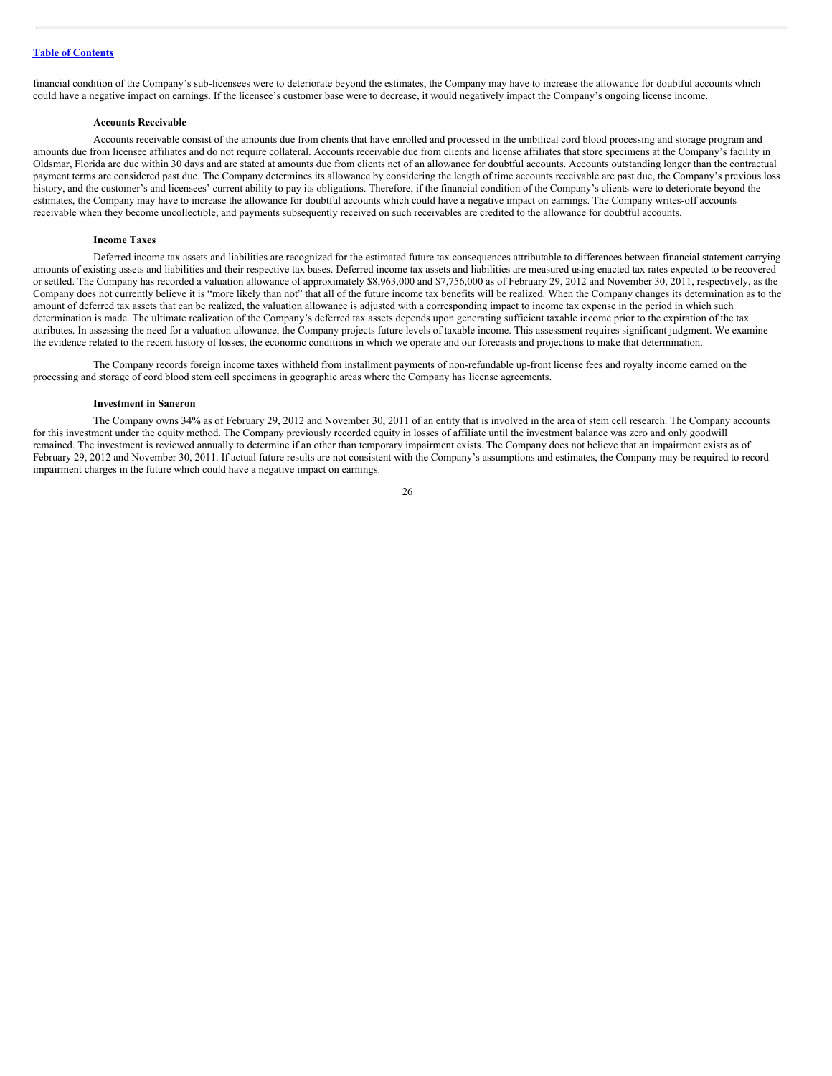financial condition of the Company's sub-licensees were to deteriorate beyond the estimates, the Company may have to increase the allowance for doubtful accounts which could have a negative impact on earnings. If the licensee's customer base were to decrease, it would negatively impact the Company's ongoing license income.

#### **Accounts Receivable**

Accounts receivable consist of the amounts due from clients that have enrolled and processed in the umbilical cord blood processing and storage program and amounts due from licensee affiliates and do not require collateral. Accounts receivable due from clients and license affiliates that store specimens at the Company's facility in Oldsmar, Florida are due within 30 days and are stated at amounts due from clients net of an allowance for doubtful accounts. Accounts outstanding longer than the contractual payment terms are considered past due. The Company determines its allowance by considering the length of time accounts receivable are past due, the Company's previous loss history, and the customer's and licensees' current ability to pay its obligations. Therefore, if the financial condition of the Company's clients were to deteriorate beyond the estimates, the Company may have to increase the allowance for doubtful accounts which could have a negative impact on earnings. The Company writes-off accounts receivable when they become uncollectible, and payments subsequently received on such receivables are credited to the allowance for doubtful accounts.

#### **Income Taxes**

Deferred income tax assets and liabilities are recognized for the estimated future tax consequences attributable to differences between financial statement carrying amounts of existing assets and liabilities and their respective tax bases. Deferred income tax assets and liabilities are measured using enacted tax rates expected to be recovered or settled. The Company has recorded a valuation allowance of approximately \$8,963,000 and \$7,756,000 as of February 29, 2012 and November 30, 2011, respectively, as the Company does not currently believe it is "more likely than not" that all of the future income tax benefits will be realized. When the Company changes its determination as to the amount of deferred tax assets that can be realized, the valuation allowance is adjusted with a corresponding impact to income tax expense in the period in which such determination is made. The ultimate realization of the Company's deferred tax assets depends upon generating sufficient taxable income prior to the expiration of the tax attributes. In assessing the need for a valuation allowance, the Company projects future levels of taxable income. This assessment requires significant judgment. We examine the evidence related to the recent history of losses, the economic conditions in which we operate and our forecasts and projections to make that determination.

The Company records foreign income taxes withheld from installment payments of non-refundable up-front license fees and royalty income earned on the processing and storage of cord blood stem cell specimens in geographic areas where the Company has license agreements.

#### **Investment in Saneron**

The Company owns 34% as of February 29, 2012 and November 30, 2011 of an entity that is involved in the area of stem cell research. The Company accounts for this investment under the equity method. The Company previously recorded equity in losses of affiliate until the investment balance was zero and only goodwill remained. The investment is reviewed annually to determine if an other than temporary impairment exists. The Company does not believe that an impairment exists as of February 29, 2012 and November 30, 2011. If actual future results are not consistent with the Company's assumptions and estimates, the Company may be required to record impairment charges in the future which could have a negative impact on earnings.

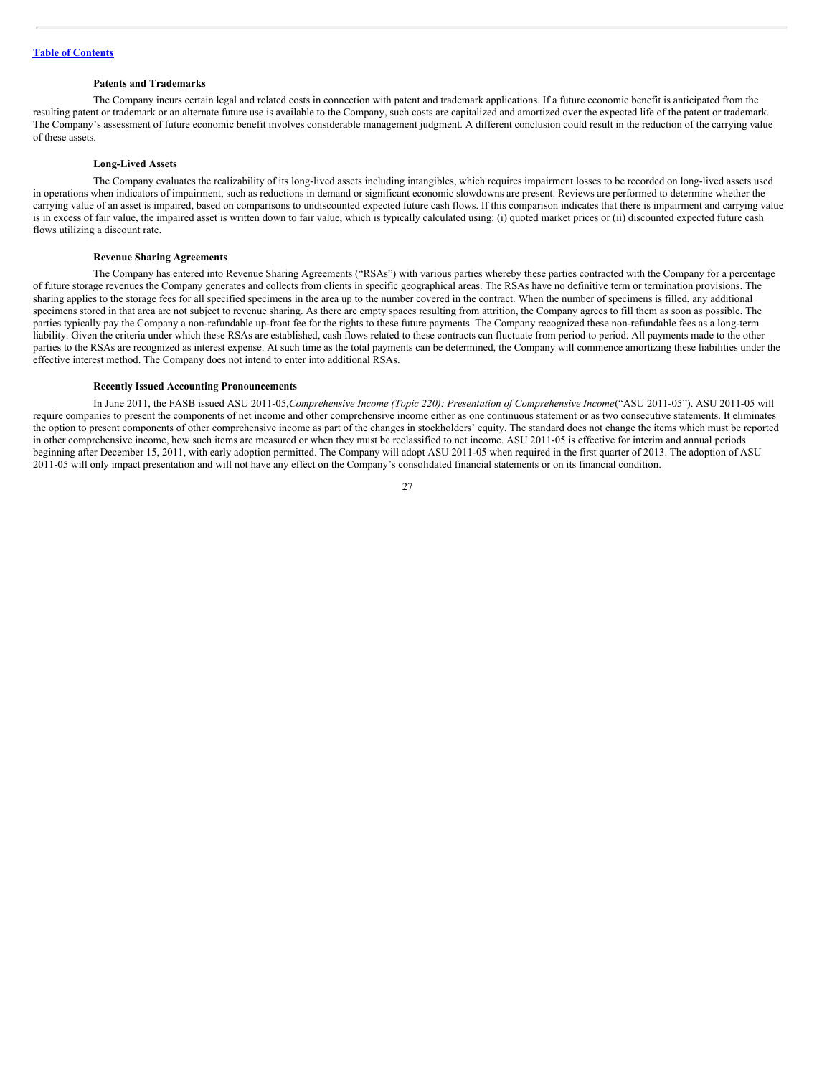#### **Patents and Trademarks**

The Company incurs certain legal and related costs in connection with patent and trademark applications. If a future economic benefit is anticipated from the resulting patent or trademark or an alternate future use is available to the Company, such costs are capitalized and amortized over the expected life of the patent or trademark. The Company's assessment of future economic benefit involves considerable management judgment. A different conclusion could result in the reduction of the carrying value of these assets.

#### **Long-Lived Assets**

The Company evaluates the realizability of its long-lived assets including intangibles, which requires impairment losses to be recorded on long-lived assets used in operations when indicators of impairment, such as reductions in demand or significant economic slowdowns are present. Reviews are performed to determine whether the carrying value of an asset is impaired, based on comparisons to undiscounted expected future cash flows. If this comparison indicates that there is impairment and carrying value is in excess of fair value, the impaired asset is written down to fair value, which is typically calculated using: (i) quoted market prices or (ii) discounted expected future cash flows utilizing a discount rate.

#### **Revenue Sharing Agreements**

The Company has entered into Revenue Sharing Agreements ("RSAs") with various parties whereby these parties contracted with the Company for a percentage of future storage revenues the Company generates and collects from clients in specific geographical areas. The RSAs have no definitive term or termination provisions. The sharing applies to the storage fees for all specified specimens in the area up to the number covered in the contract. When the number of specimens is filled, any additional specimens stored in that area are not subject to revenue sharing. As there are empty spaces resulting from attrition, the Company agrees to fill them as soon as possible. The parties typically pay the Company a non-refundable up-front fee for the rights to these future payments. The Company recognized these non-refundable fees as a long-term liability. Given the criteria under which these RSAs are established, cash flows related to these contracts can fluctuate from period to period. All payments made to the other parties to the RSAs are recognized as interest expense. At such time as the total payments can be determined, the Company will commence amortizing these liabilities under the effective interest method. The Company does not intend to enter into additional RSAs.

#### **Recently Issued Accounting Pronouncements**

In June 2011, the FASB issued ASU 2011-05,*Comprehensive Income (Topic 220): Presentation of Comprehensive Income*("ASU 2011-05"). ASU 2011-05 will require companies to present the components of net income and other comprehensive income either as one continuous statement or as two consecutive statements. It eliminates the option to present components of other comprehensive income as part of the changes in stockholders' equity. The standard does not change the items which must be reported in other comprehensive income, how such items are measured or when they must be reclassified to net income. ASU 2011-05 is effective for interim and annual periods beginning after December 15, 2011, with early adoption permitted. The Company will adopt ASU 2011-05 when required in the first quarter of 2013. The adoption of ASU 2011-05 will only impact presentation and will not have any effect on the Company's consolidated financial statements or on its financial condition.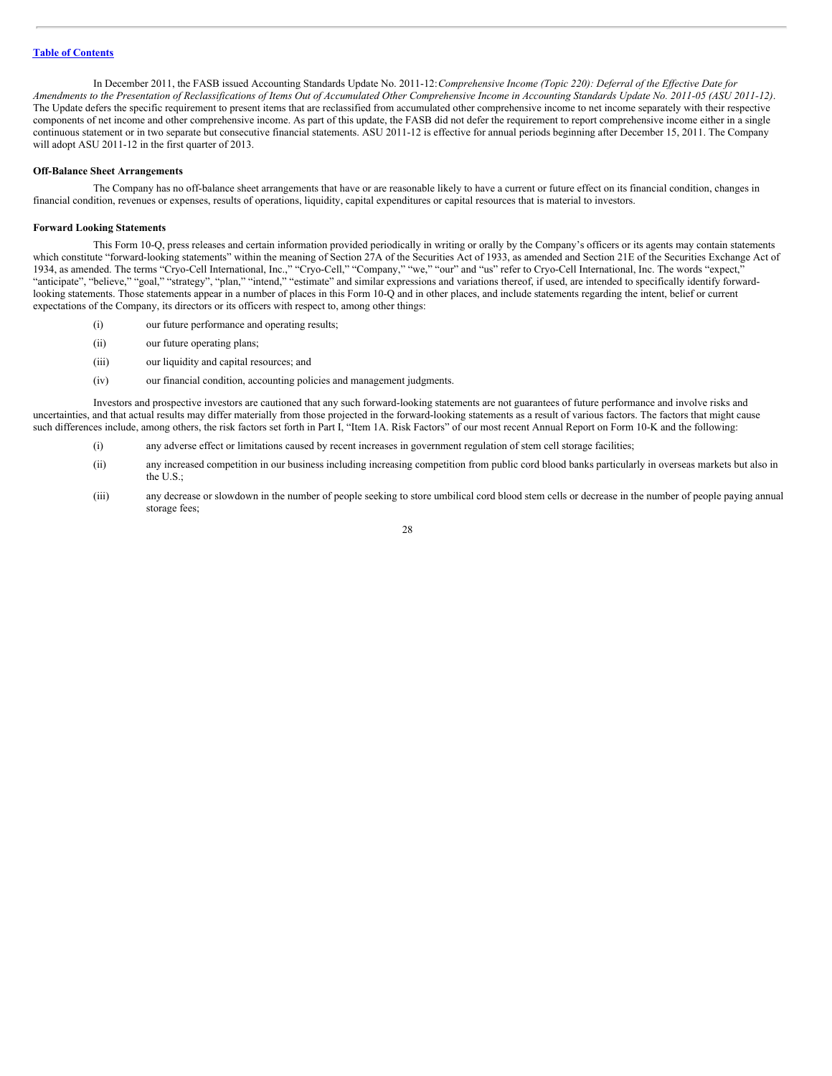In December 2011, the FASB issued Accounting Standards Update No. 2011-12:*Comprehensive Income (Topic 220): Deferral of the Ef ective Date for* Amendments to the Presentation of Reclassifications of Items Out of Accumulated Other Comprehensive Income in Accounting Standards Update No. 2011-05 (ASU 2011-12). The Update defers the specific requirement to present items that are reclassified from accumulated other comprehensive income to net income separately with their respective components of net income and other comprehensive income. As part of this update, the FASB did not defer the requirement to report comprehensive income either in a single continuous statement or in two separate but consecutive financial statements. ASU 2011-12 is effective for annual periods beginning after December 15, 2011. The Company will adopt ASU 2011-12 in the first quarter of 2013.

#### **Off-Balance Sheet Arrangements**

The Company has no off-balance sheet arrangements that have or are reasonable likely to have a current or future effect on its financial condition, changes in financial condition, revenues or expenses, results of operations, liquidity, capital expenditures or capital resources that is material to investors.

#### **Forward Looking Statements**

This Form 10-Q, press releases and certain information provided periodically in writing or orally by the Company's officers or its agents may contain statements which constitute "forward-looking statements" within the meaning of Section 27A of the Securities Act of 1933, as amended and Section 21E of the Securities Exchange Act of 1934, as amended. The terms "Cryo-Cell International, Inc.," "Cryo-Cell," "Company," "we," "our" and "us" refer to Cryo-Cell International, Inc. The words "expect," "anticipate", "believe," "goal," "strategy", "plan," "intend," "estimate" and similar expressions and variations thereof, if used, are intended to specifically identify forwardlooking statements. Those statements appear in a number of places in this Form 10-Q and in other places, and include statements regarding the intent, belief or current expectations of the Company, its directors or its officers with respect to, among other things:

- (i) our future performance and operating results;
- (ii) our future operating plans;
- (iii) our liquidity and capital resources; and
- (iv) our financial condition, accounting policies and management judgments.

Investors and prospective investors are cautioned that any such forward-looking statements are not guarantees of future performance and involve risks and uncertainties, and that actual results may differ materially from those projected in the forward-looking statements as a result of various factors. The factors that might cause such differences include, among others, the risk factors set forth in Part I, "Item 1A. Risk Factors" of our most recent Annual Report on Form 10-K and the following:

- (i) any adverse effect or limitations caused by recent increases in government regulation of stem cell storage facilities;
- (ii) any increased competition in our business including increasing competition from public cord blood banks particularly in overseas markets but also in the U.S.;
- (iii) any decrease or slowdown in the number of people seeking to store umbilical cord blood stem cells or decrease in the number of people paying annual storage fees;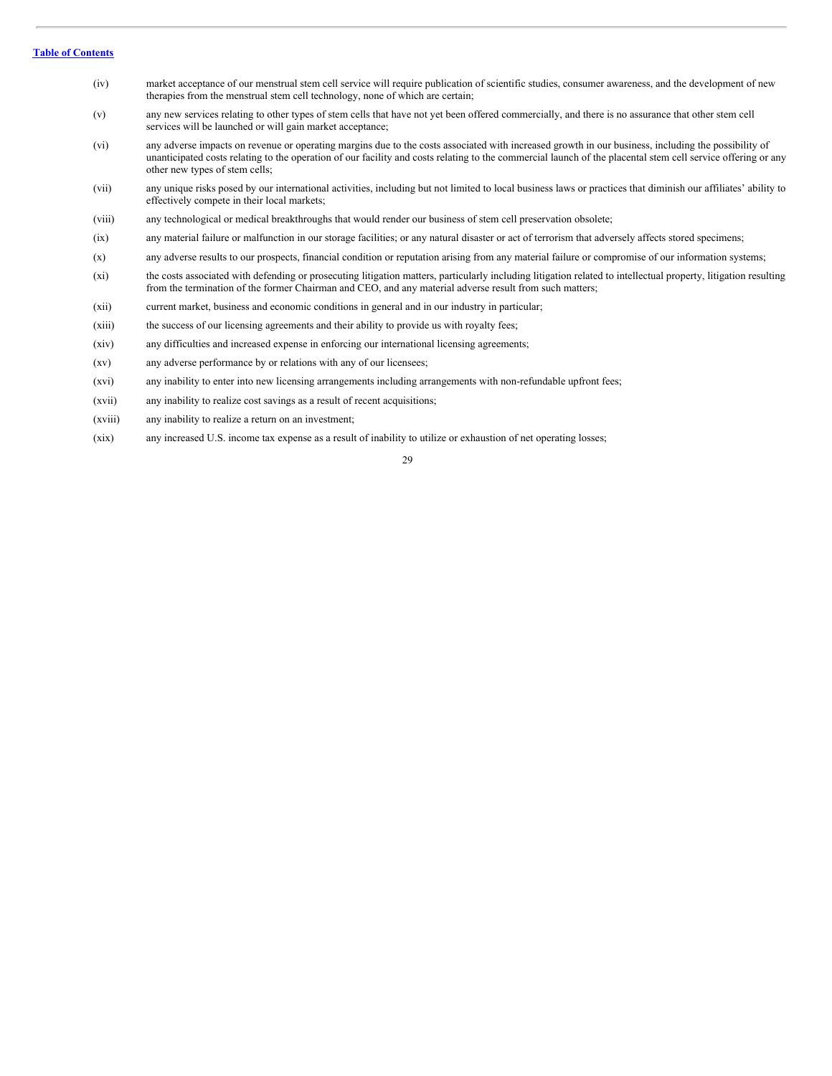#### **Table of [Contents](#page-1-0)**

- (iv) market acceptance of our menstrual stem cell service will require publication of scientific studies, consumer awareness, and the development of new therapies from the menstrual stem cell technology, none of which are certain;
- (v) any new services relating to other types of stem cells that have not yet been offered commercially, and there is no assurance that other stem cell services will be launched or will gain market acceptance;
- (vi) any adverse impacts on revenue or operating margins due to the costs associated with increased growth in our business, including the possibility of unanticipated costs relating to the operation of our facility and costs relating to the commercial launch of the placental stem cell service offering or any other new types of stem cells;
- (vii) any unique risks posed by our international activities, including but not limited to local business laws or practices that diminish our affiliates' ability to effectively compete in their local markets;
- (viii) any technological or medical breakthroughs that would render our business of stem cell preservation obsolete;
- (ix) any material failure or malfunction in our storage facilities; or any natural disaster or act of terrorism that adversely affects stored specimens;
- (x) any adverse results to our prospects, financial condition or reputation arising from any material failure or compromise of our information systems;
- (xi) the costs associated with defending or prosecuting litigation matters, particularly including litigation related to intellectual property, litigation resulting from the termination of the former Chairman and CEO, and any material adverse result from such matters;
- (xii) current market, business and economic conditions in general and in our industry in particular;
- (xiii) the success of our licensing agreements and their ability to provide us with royalty fees;
- (xiv) any difficulties and increased expense in enforcing our international licensing agreements;
- (xv) any adverse performance by or relations with any of our licensees;
- (xvi) any inability to enter into new licensing arrangements including arrangements with non-refundable upfront fees;
- (xvii) any inability to realize cost savings as a result of recent acquisitions;
- (xviii) any inability to realize a return on an investment;
- (xix) any increased U.S. income tax expense as a result of inability to utilize or exhaustion of net operating losses;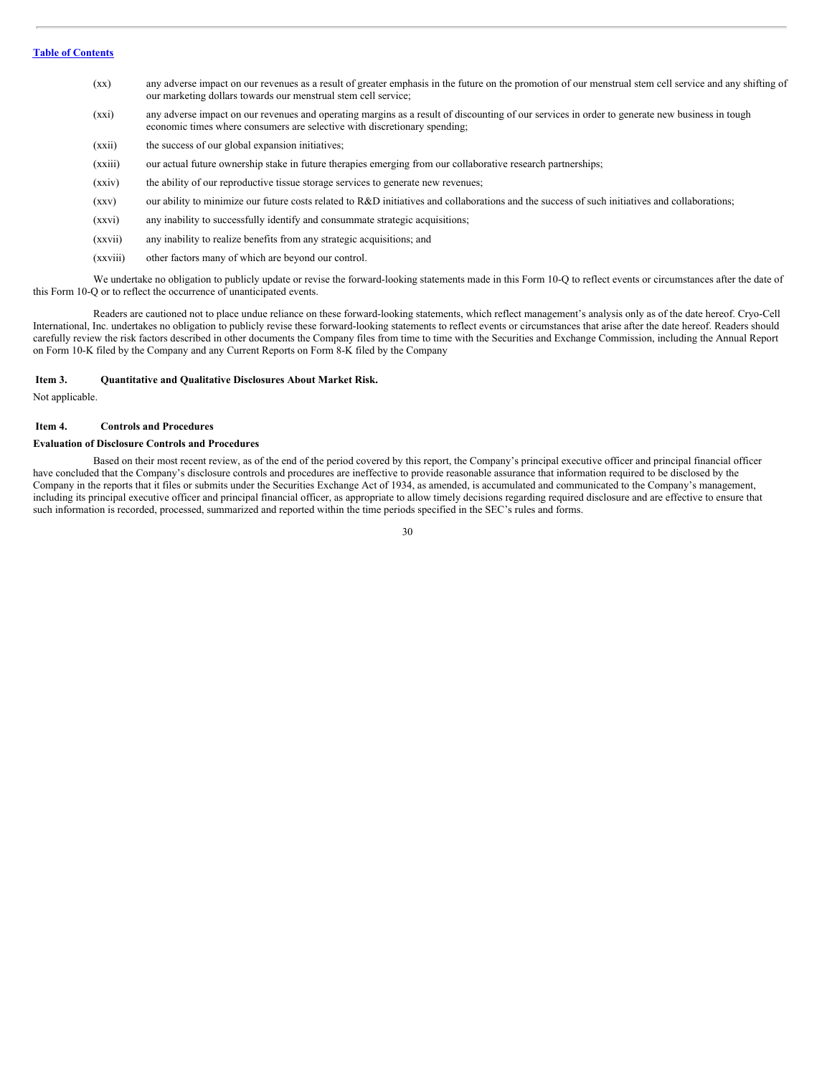- (xx) any adverse impact on our revenues as a result of greater emphasis in the future on the promotion of our menstrual stem cell service and any shifting of our marketing dollars towards our menstrual stem cell service;
- (xxi) any adverse impact on our revenues and operating margins as a result of discounting of our services in order to generate new business in tough economic times where consumers are selective with discretionary spending;
- (xxii) the success of our global expansion initiatives;
- (xxiii) our actual future ownership stake in future therapies emerging from our collaborative research partnerships;
- (xxiv) the ability of our reproductive tissue storage services to generate new revenues;
- (xxv) our ability to minimize our future costs related to R&D initiatives and collaborations and the success of such initiatives and collaborations;
- (xxvi) any inability to successfully identify and consummate strategic acquisitions;
- (xxvii) any inability to realize benefits from any strategic acquisitions; and
- (xxviii) other factors many of which are beyond our control.

We undertake no obligation to publicly update or revise the forward-looking statements made in this Form 10-Q to reflect events or circumstances after the date of this Form 10-Q or to reflect the occurrence of unanticipated events.

Readers are cautioned not to place undue reliance on these forward-looking statements, which reflect management's analysis only as of the date hereof. Cryo-Cell International, Inc. undertakes no obligation to publicly revise these forward-looking statements to reflect events or circumstances that arise after the date hereof. Readers should carefully review the risk factors described in other documents the Company files from time to time with the Securities and Exchange Commission, including the Annual Report on Form 10-K filed by the Company and any Current Reports on Form 8-K filed by the Company

#### <span id="page-29-0"></span>**Item 3. Quantitative and Qualitative Disclosures About Market Risk.**

Not applicable.

## <span id="page-29-1"></span>**Item 4. Controls and Procedures**

#### **Evaluation of Disclosure Controls and Procedures**

Based on their most recent review, as of the end of the period covered by this report, the Company's principal executive officer and principal financial officer have concluded that the Company's disclosure controls and procedures are ineffective to provide reasonable assurance that information required to be disclosed by the Company in the reports that it files or submits under the Securities Exchange Act of 1934, as amended, is accumulated and communicated to the Company's management, including its principal executive officer and principal financial officer, as appropriate to allow timely decisions regarding required disclosure and are effective to ensure that such information is recorded, processed, summarized and reported within the time periods specified in the SEC's rules and forms.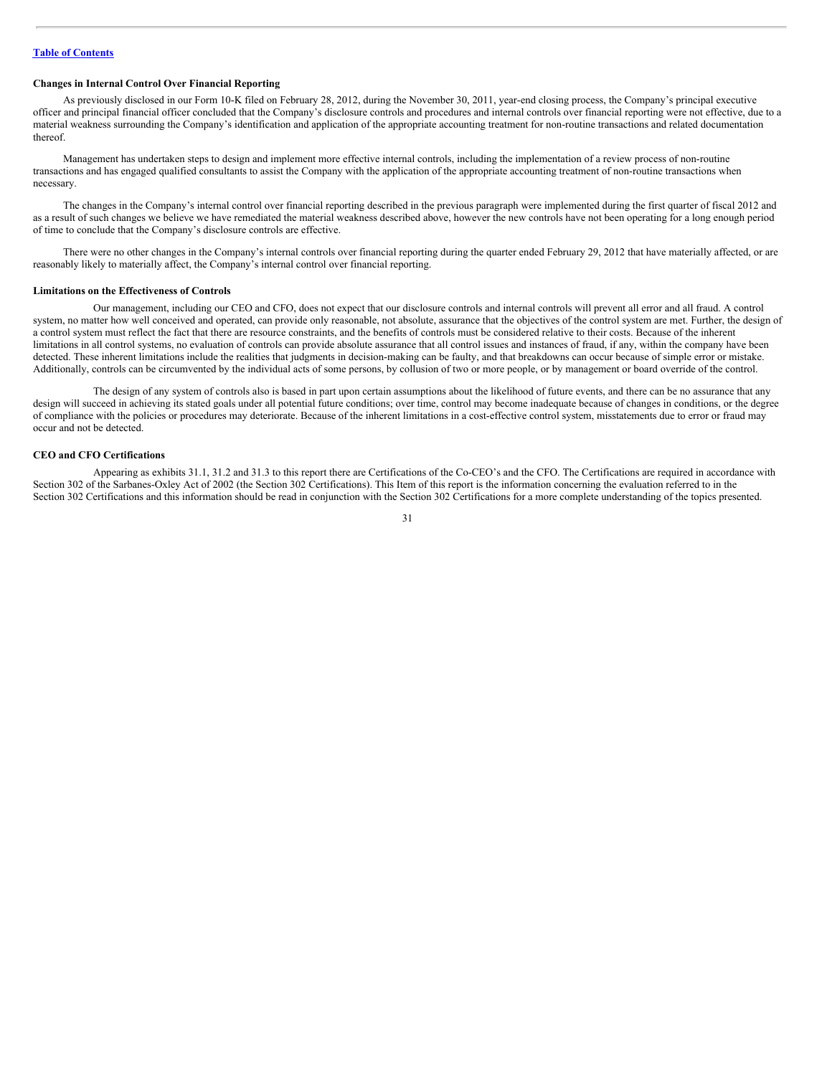## **Changes in Internal Control Over Financial Reporting**

As previously disclosed in our Form 10-K filed on February 28, 2012, during the November 30, 2011, year-end closing process, the Company's principal executive officer and principal financial officer concluded that the Company's disclosure controls and procedures and internal controls over financial reporting were not effective, due to a material weakness surrounding the Company's identification and application of the appropriate accounting treatment for non-routine transactions and related documentation thereof.

Management has undertaken steps to design and implement more effective internal controls, including the implementation of a review process of non-routine transactions and has engaged qualified consultants to assist the Company with the application of the appropriate accounting treatment of non-routine transactions when necessary.

The changes in the Company's internal control over financial reporting described in the previous paragraph were implemented during the first quarter of fiscal 2012 and as a result of such changes we believe we have remediated the material weakness described above, however the new controls have not been operating for a long enough period of time to conclude that the Company's disclosure controls are effective.

There were no other changes in the Company's internal controls over financial reporting during the quarter ended February 29, 2012 that have materially affected, or are reasonably likely to materially affect, the Company's internal control over financial reporting.

#### **Limitations on the Effectiveness of Controls**

Our management, including our CEO and CFO, does not expect that our disclosure controls and internal controls will prevent all error and all fraud. A control system, no matter how well conceived and operated, can provide only reasonable, not absolute, assurance that the objectives of the control system are met. Further, the design of a control system must reflect the fact that there are resource constraints, and the benefits of controls must be considered relative to their costs. Because of the inherent limitations in all control systems, no evaluation of controls can provide absolute assurance that all control issues and instances of fraud, if any, within the company have been detected. These inherent limitations include the realities that judgments in decision-making can be faulty, and that breakdowns can occur because of simple error or mistake. Additionally, controls can be circumvented by the individual acts of some persons, by collusion of two or more people, or by management or board override of the control.

The design of any system of controls also is based in part upon certain assumptions about the likelihood of future events, and there can be no assurance that any design will succeed in achieving its stated goals under all potential future conditions; over time, control may become inadequate because of changes in conditions, or the degree of compliance with the policies or procedures may deteriorate. Because of the inherent limitations in a cost-effective control system, misstatements due to error or fraud may occur and not be detected.

#### **CEO and CFO Certifications**

Appearing as exhibits 31.1, 31.2 and 31.3 to this report there are Certifications of the Co-CEO's and the CFO. The Certifications are required in accordance with Section 302 of the Sarbanes-Oxley Act of 2002 (the Section 302 Certifications). This Item of this report is the information concerning the evaluation referred to in the Section 302 Certifications and this information should be read in conjunction with the Section 302 Certifications for a more complete understanding of the topics presented.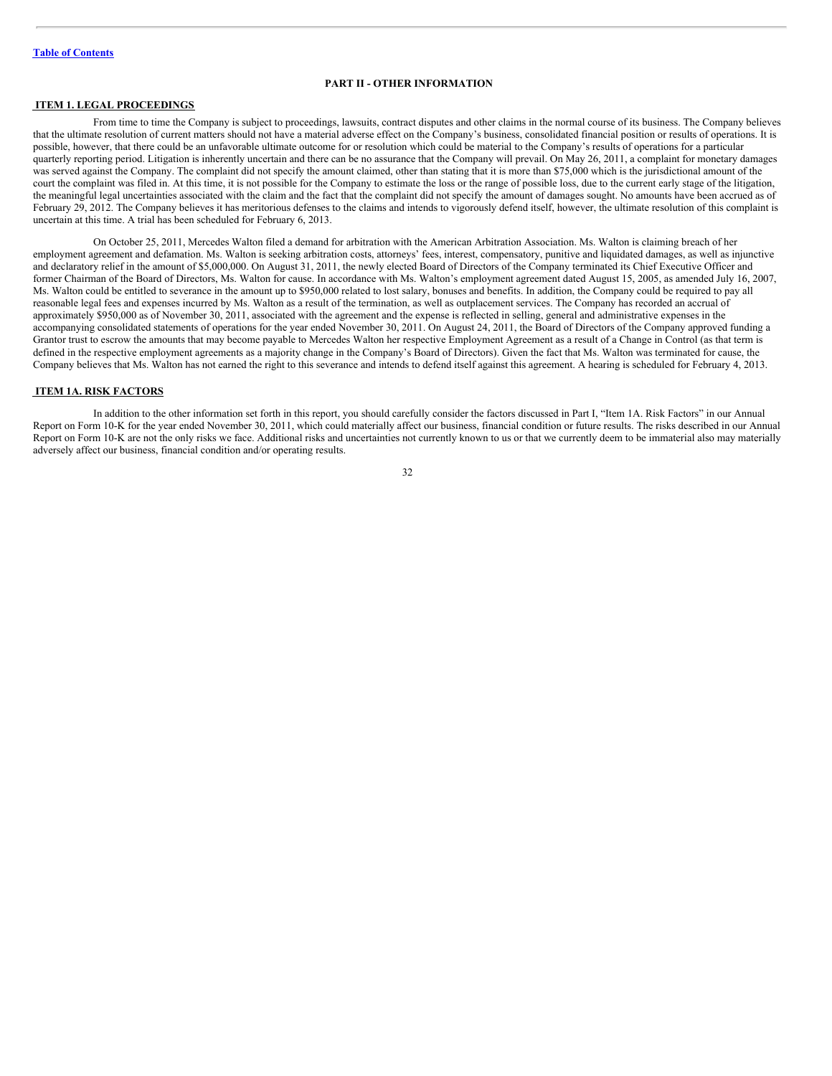# <span id="page-31-0"></span>**PART II - OTHER INFORMATION**

# <span id="page-31-1"></span>**ITEM 1. LEGAL PROCEEDINGS**

From time to time the Company is subject to proceedings, lawsuits, contract disputes and other claims in the normal course of its business. The Company believes that the ultimate resolution of current matters should not have a material adverse effect on the Company's business, consolidated financial position or results of operations. It is possible, however, that there could be an unfavorable ultimate outcome for or resolution which could be material to the Company's results of operations for a particular quarterly reporting period. Litigation is inherently uncertain and there can be no assurance that the Company will prevail. On May 26, 2011, a complaint for monetary damages was served against the Company. The complaint did not specify the amount claimed, other than stating that it is more than \$75,000 which is the jurisdictional amount of the court the complaint was filed in. At this time, it is not possible for the Company to estimate the loss or the range of possible loss, due to the current early stage of the litigation, the meaningful legal uncertainties associated with the claim and the fact that the complaint did not specify the amount of damages sought. No amounts have been accrued as of February 29, 2012. The Company believes it has meritorious defenses to the claims and intends to vigorously defend itself, however, the ultimate resolution of this complaint is uncertain at this time. A trial has been scheduled for February 6, 2013.

On October 25, 2011, Mercedes Walton filed a demand for arbitration with the American Arbitration Association. Ms. Walton is claiming breach of her employment agreement and defamation. Ms. Walton is seeking arbitration costs, attorneys' fees, interest, compensatory, punitive and liquidated damages, as well as injunctive and declaratory relief in the amount of \$5,000,000. On August 31, 2011, the newly elected Board of Directors of the Company terminated its Chief Executive Officer and former Chairman of the Board of Directors, Ms. Walton for cause. In accordance with Ms. Walton's employment agreement dated August 15, 2005, as amended July 16, 2007, Ms. Walton could be entitled to severance in the amount up to \$950,000 related to lost salary, bonuses and benefits. In addition, the Company could be required to pay all reasonable legal fees and expenses incurred by Ms. Walton as a result of the termination, as well as outplacement services. The Company has recorded an accrual of approximately \$950,000 as of November 30, 2011, associated with the agreement and the expense is reflected in selling, general and administrative expenses in the accompanying consolidated statements of operations for the year ended November 30, 2011. On August 24, 2011, the Board of Directors of the Company approved funding a Grantor trust to escrow the amounts that may become payable to Mercedes Walton her respective Employment Agreement as a result of a Change in Control (as that term is defined in the respective employment agreements as a majority change in the Company's Board of Directors). Given the fact that Ms. Walton was terminated for cause, the Company believes that Ms. Walton has not earned the right to this severance and intends to defend itself against this agreement. A hearing is scheduled for February 4, 2013.

#### <span id="page-31-2"></span>**ITEM 1A. RISK FACTORS**

In addition to the other information set forth in this report, you should carefully consider the factors discussed in Part I, "Item 1A. Risk Factors" in our Annual Report on Form 10-K for the year ended November 30, 2011, which could materially affect our business, financial condition or future results. The risks described in our Annual Report on Form 10-K are not the only risks we face. Additional risks and uncertainties not currently known to us or that we currently deem to be immaterial also may materially adversely affect our business, financial condition and/or operating results.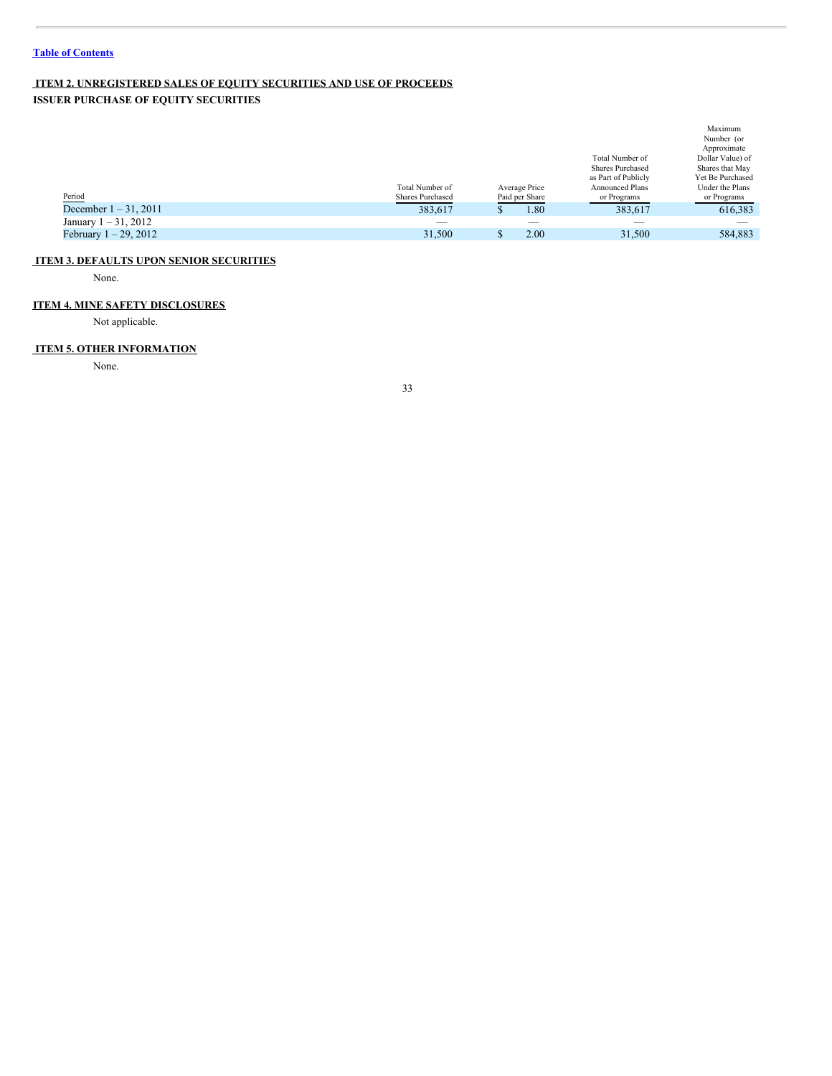# <span id="page-32-0"></span>**ITEM 2. UNREGISTERED SALES OF EQUITY SECURITIES AND USE OF PROCEEDS**

**ISSUER PURCHASE OF EQUITY SECURITIES**

|                          |                  |                |                          | Maximum          |
|--------------------------|------------------|----------------|--------------------------|------------------|
|                          |                  |                |                          | Number (or       |
|                          |                  |                |                          | Approximate      |
|                          |                  |                | Total Number of          | Dollar Value) of |
|                          |                  |                | <b>Shares Purchased</b>  | Shares that May  |
|                          |                  |                | as Part of Publicly      | Yet Be Purchased |
|                          | Total Number of  | Average Price  | <b>Announced Plans</b>   | Under the Plans  |
| Period                   | Shares Purchased | Paid per Share | or Programs              | or Programs      |
| December $1 - 31$ , 2011 | 383,617          | 1.80           | 383,617                  | 616,383          |
| January $1 - 31$ , 2012  | $-$              | _              | $\overline{\phantom{a}}$ |                  |
| February $1 - 29$ , 2012 | 31,500           | 2.00           | 31,500                   | 584.883          |

# <span id="page-32-1"></span>**ITEM 3. DEFAULTS UPON SENIOR SECURITIES**

None.

# **ITEM 4. MINE SAFETY DISCLOSURES**

Not applicable.

# <span id="page-32-2"></span>**ITEM 5. OTHER INFORMATION**

None.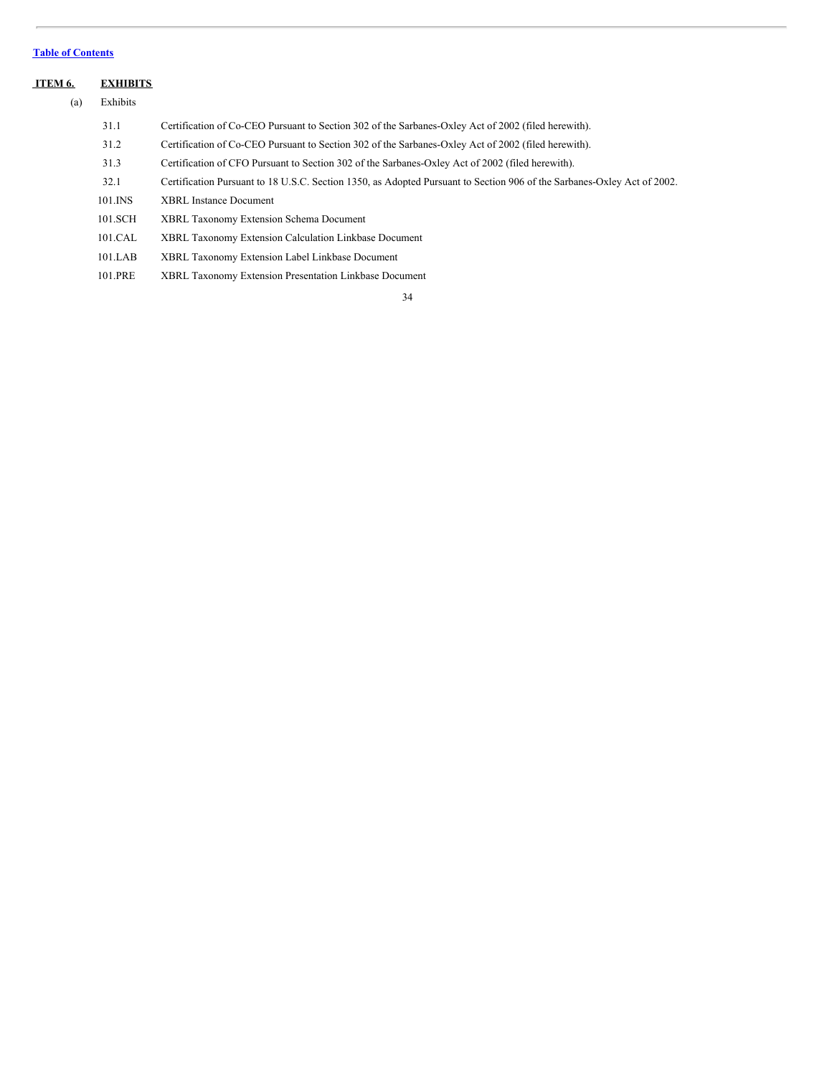# **Table of [Contents](#page-1-0)**

<span id="page-33-0"></span>

| ITEM 6. | <b>EXHIBITS</b> |                                                                                                                         |
|---------|-----------------|-------------------------------------------------------------------------------------------------------------------------|
| (a)     | Exhibits        |                                                                                                                         |
|         | 31.1            | Certification of Co-CEO Pursuant to Section 302 of the Sarbanes-Oxley Act of 2002 (filed herewith).                     |
|         | 31.2            | Certification of Co-CEO Pursuant to Section 302 of the Sarbanes-Oxley Act of 2002 (filed herewith).                     |
|         | 31.3            | Certification of CFO Pursuant to Section 302 of the Sarbanes-Oxley Act of 2002 (filed herewith).                        |
|         | 32.1            | Certification Pursuant to 18 U.S.C. Section 1350, as Adopted Pursuant to Section 906 of the Sarbanes-Oxley Act of 2002. |
|         | 101.INS         | <b>XBRL</b> Instance Document                                                                                           |
|         | 101.SCH         | XBRL Taxonomy Extension Schema Document                                                                                 |
|         | 101.CAL         | XBRL Taxonomy Extension Calculation Linkbase Document                                                                   |
|         | 101.LAB         | XBRL Taxonomy Extension Label Linkbase Document                                                                         |
|         | 101.PRE         | XBRL Taxonomy Extension Presentation Linkbase Document                                                                  |
|         |                 |                                                                                                                         |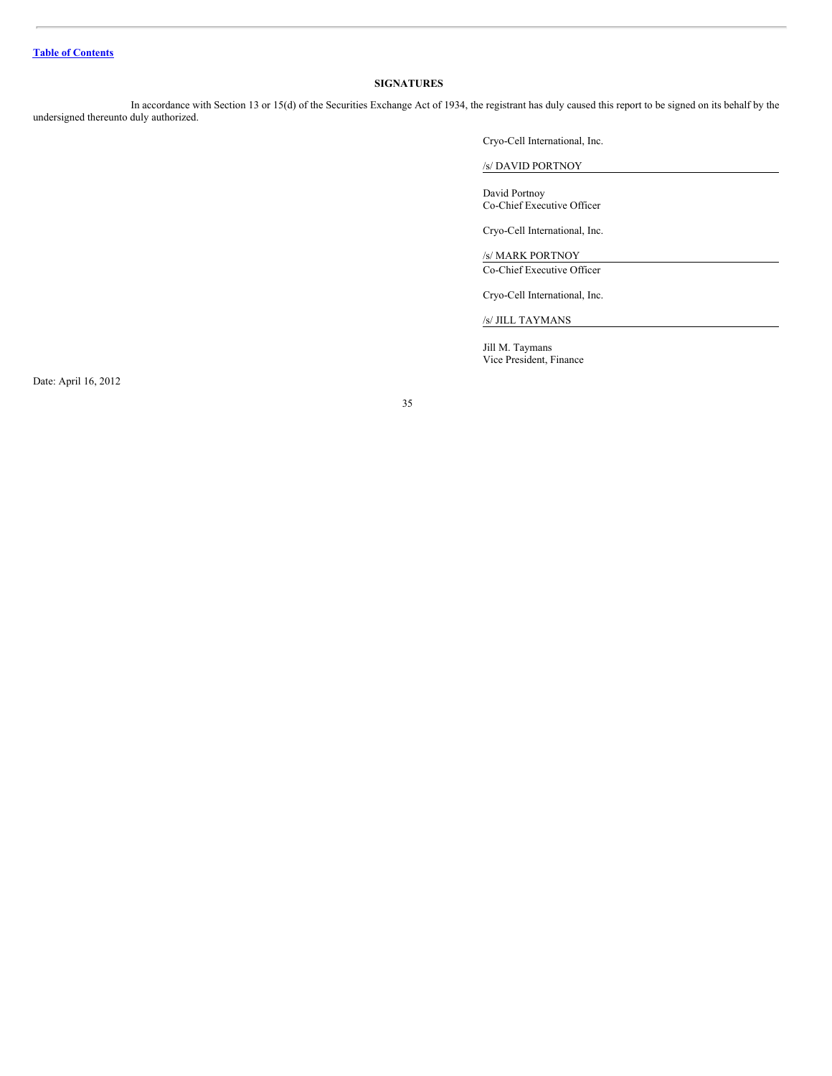# <span id="page-34-0"></span>**SIGNATURES**

In accordance with Section 13 or 15(d) of the Securities Exchange Act of 1934, the registrant has duly caused this report to be signed on its behalf by the undersigned thereunto duly authorized.

Cryo-Cell International, Inc.

/s/ DAVID PORTNOY

David Portnoy Co-Chief Executive Officer

Cryo-Cell International, Inc.

/s/ MARK PORTNOY Co-Chief Executive Officer

Cryo-Cell International, Inc.

/s/ JILL TAYMANS

Jill M. Taymans Vice President, Finance

Date: April 16, 2012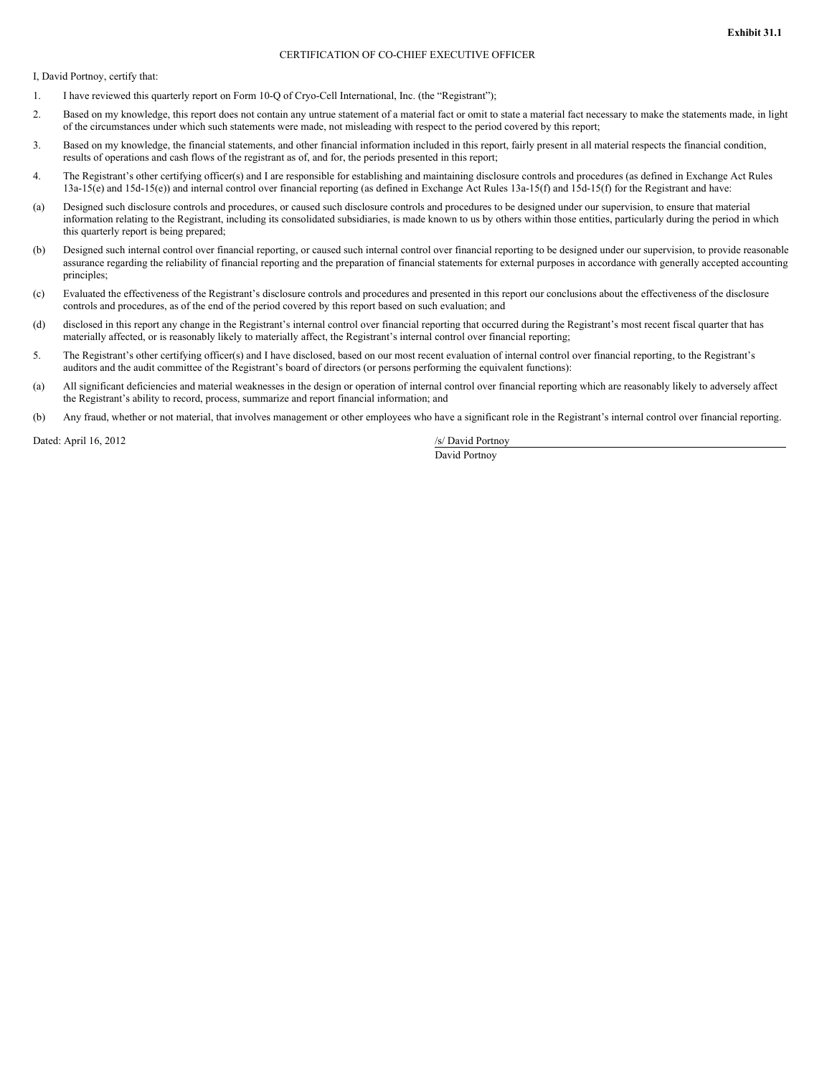#### CERTIFICATION OF CO-CHIEF EXECUTIVE OFFICER

I, David Portnoy, certify that:

- 1. I have reviewed this quarterly report on Form 10-Q of Cryo-Cell International, Inc. (the "Registrant");
- 2. Based on my knowledge, this report does not contain any untrue statement of a material fact or omit to state a material fact necessary to make the statements made, in light of the circumstances under which such statements were made, not misleading with respect to the period covered by this report;
- 3. Based on my knowledge, the financial statements, and other financial information included in this report, fairly present in all material respects the financial condition, results of operations and cash flows of the registrant as of, and for, the periods presented in this report;
- 4. The Registrant's other certifying officer(s) and I are responsible for establishing and maintaining disclosure controls and procedures (as defined in Exchange Act Rules 13a-15(e) and 15d-15(e)) and internal control over financial reporting (as defined in Exchange Act Rules 13a-15(f) and 15d-15(f) for the Registrant and have:
- (a) Designed such disclosure controls and procedures, or caused such disclosure controls and procedures to be designed under our supervision, to ensure that material information relating to the Registrant, including its consolidated subsidiaries, is made known to us by others within those entities, particularly during the period in which this quarterly report is being prepared;
- (b) Designed such internal control over financial reporting, or caused such internal control over financial reporting to be designed under our supervision, to provide reasonable assurance regarding the reliability of financial reporting and the preparation of financial statements for external purposes in accordance with generally accepted accounting principles;
- (c) Evaluated the effectiveness of the Registrant's disclosure controls and procedures and presented in this report our conclusions about the effectiveness of the disclosure controls and procedures, as of the end of the period covered by this report based on such evaluation; and
- (d) disclosed in this report any change in the Registrant's internal control over financial reporting that occurred during the Registrant's most recent fiscal quarter that has materially affected, or is reasonably likely to materially affect, the Registrant's internal control over financial reporting;
- 5. The Registrant's other certifying officer(s) and I have disclosed, based on our most recent evaluation of internal control over financial reporting, to the Registrant's auditors and the audit committee of the Registrant's board of directors (or persons performing the equivalent functions):
- (a) All significant deficiencies and material weaknesses in the design or operation of internal control over financial reporting which are reasonably likely to adversely affect the Registrant's ability to record, process, summarize and report financial information; and
- (b) Any fraud, whether or not material, that involves management or other employees who have a significant role in the Registrant's internal control over financial reporting.

Dated: April 16, 2012 /s/ David Portnoy

David Portnoy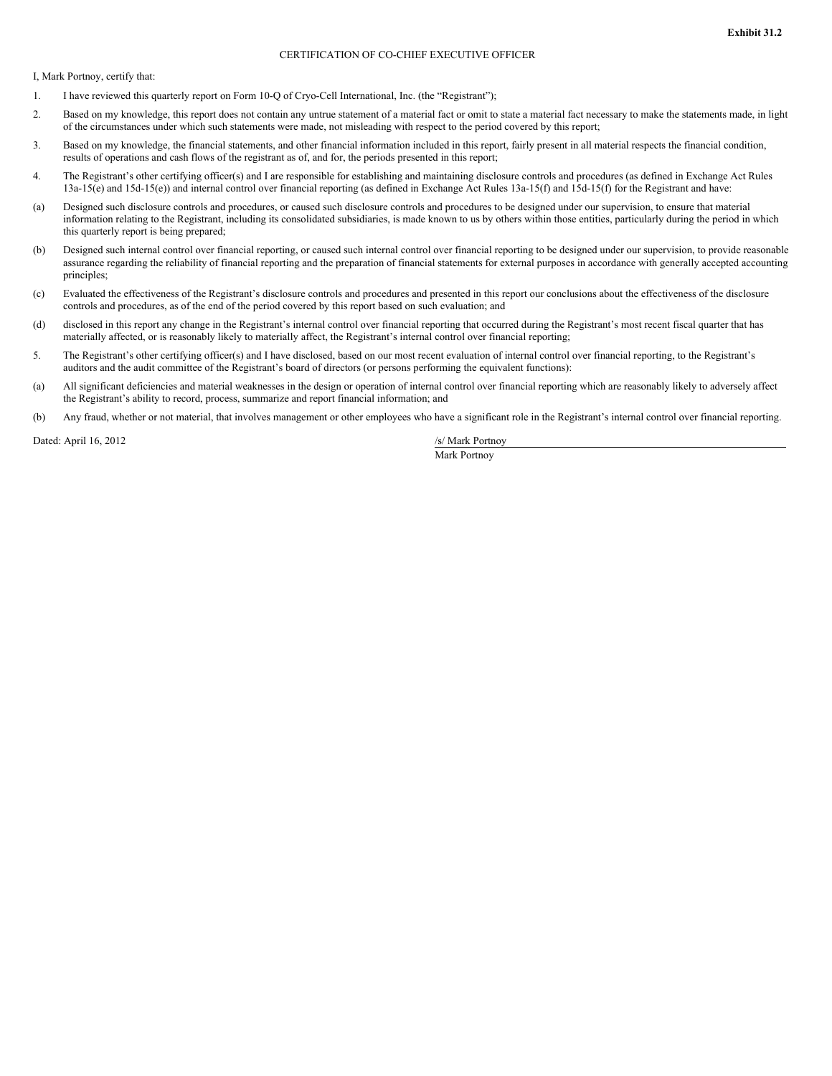#### CERTIFICATION OF CO-CHIEF EXECUTIVE OFFICER

I, Mark Portnoy, certify that:

- 1. I have reviewed this quarterly report on Form 10-Q of Cryo-Cell International, Inc. (the "Registrant");
- 2. Based on my knowledge, this report does not contain any untrue statement of a material fact or omit to state a material fact necessary to make the statements made, in light of the circumstances under which such statements were made, not misleading with respect to the period covered by this report;
- 3. Based on my knowledge, the financial statements, and other financial information included in this report, fairly present in all material respects the financial condition, results of operations and cash flows of the registrant as of, and for, the periods presented in this report;
- 4. The Registrant's other certifying officer(s) and I are responsible for establishing and maintaining disclosure controls and procedures (as defined in Exchange Act Rules 13a-15(e) and 15d-15(e)) and internal control over financial reporting (as defined in Exchange Act Rules 13a-15(f) and 15d-15(f) for the Registrant and have:
- (a) Designed such disclosure controls and procedures, or caused such disclosure controls and procedures to be designed under our supervision, to ensure that material information relating to the Registrant, including its consolidated subsidiaries, is made known to us by others within those entities, particularly during the period in which this quarterly report is being prepared;
- (b) Designed such internal control over financial reporting, or caused such internal control over financial reporting to be designed under our supervision, to provide reasonable assurance regarding the reliability of financial reporting and the preparation of financial statements for external purposes in accordance with generally accepted accounting principles;
- (c) Evaluated the effectiveness of the Registrant's disclosure controls and procedures and presented in this report our conclusions about the effectiveness of the disclosure controls and procedures, as of the end of the period covered by this report based on such evaluation; and
- (d) disclosed in this report any change in the Registrant's internal control over financial reporting that occurred during the Registrant's most recent fiscal quarter that has materially affected, or is reasonably likely to materially affect, the Registrant's internal control over financial reporting;
- 5. The Registrant's other certifying officer(s) and I have disclosed, based on our most recent evaluation of internal control over financial reporting, to the Registrant's auditors and the audit committee of the Registrant's board of directors (or persons performing the equivalent functions):
- (a) All significant deficiencies and material weaknesses in the design or operation of internal control over financial reporting which are reasonably likely to adversely affect the Registrant's ability to record, process, summarize and report financial information; and
- (b) Any fraud, whether or not material, that involves management or other employees who have a significant role in the Registrant's internal control over financial reporting.

Dated: April 16, 2012 /s/ Mark Portnoy

Mark Portnoy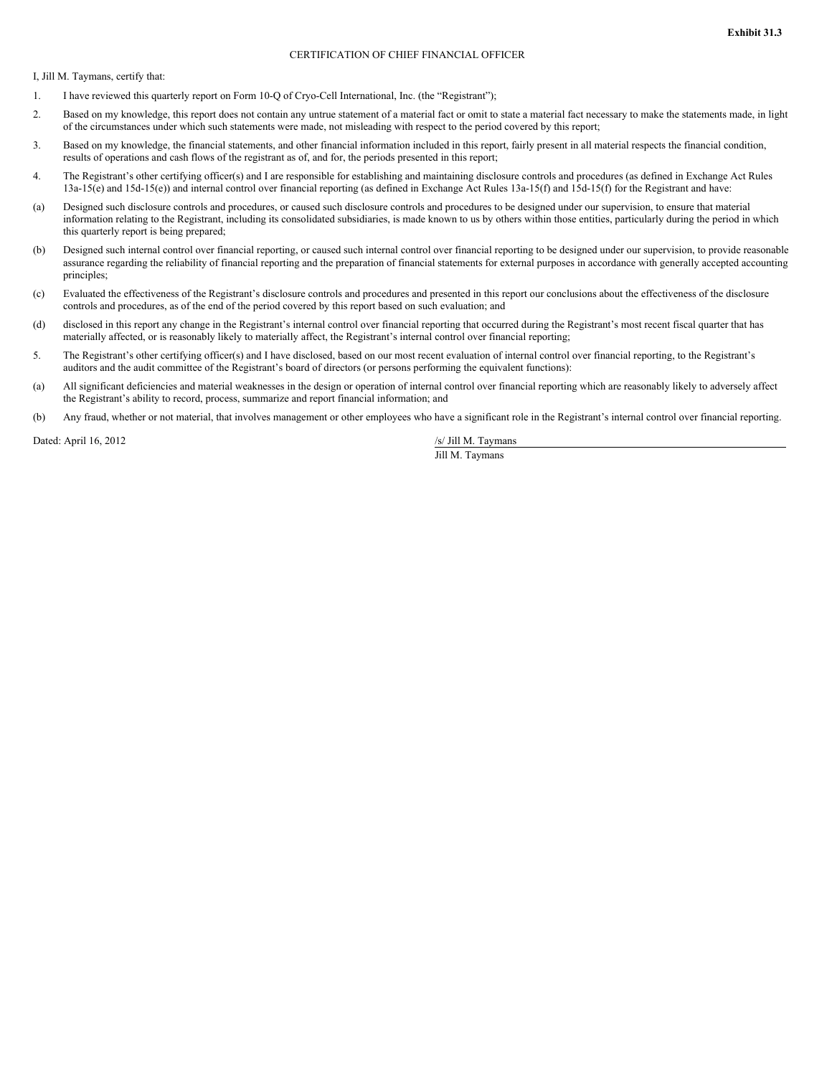#### CERTIFICATION OF CHIEF FINANCIAL OFFICER

I, Jill M. Taymans, certify that:

- 1. I have reviewed this quarterly report on Form 10-Q of Cryo-Cell International, Inc. (the "Registrant");
- 2. Based on my knowledge, this report does not contain any untrue statement of a material fact or omit to state a material fact necessary to make the statements made, in light of the circumstances under which such statements were made, not misleading with respect to the period covered by this report;
- 3. Based on my knowledge, the financial statements, and other financial information included in this report, fairly present in all material respects the financial condition, results of operations and cash flows of the registrant as of, and for, the periods presented in this report;
- 4. The Registrant's other certifying officer(s) and I are responsible for establishing and maintaining disclosure controls and procedures (as defined in Exchange Act Rules 13a-15(e) and 15d-15(e)) and internal control over financial reporting (as defined in Exchange Act Rules 13a-15(f) and 15d-15(f) for the Registrant and have:
- (a) Designed such disclosure controls and procedures, or caused such disclosure controls and procedures to be designed under our supervision, to ensure that material information relating to the Registrant, including its consolidated subsidiaries, is made known to us by others within those entities, particularly during the period in which this quarterly report is being prepared;
- (b) Designed such internal control over financial reporting, or caused such internal control over financial reporting to be designed under our supervision, to provide reasonable assurance regarding the reliability of financial reporting and the preparation of financial statements for external purposes in accordance with generally accepted accounting principles;
- (c) Evaluated the effectiveness of the Registrant's disclosure controls and procedures and presented in this report our conclusions about the effectiveness of the disclosure controls and procedures, as of the end of the period covered by this report based on such evaluation; and
- (d) disclosed in this report any change in the Registrant's internal control over financial reporting that occurred during the Registrant's most recent fiscal quarter that has materially affected, or is reasonably likely to materially affect, the Registrant's internal control over financial reporting;
- 5. The Registrant's other certifying officer(s) and I have disclosed, based on our most recent evaluation of internal control over financial reporting, to the Registrant's auditors and the audit committee of the Registrant's board of directors (or persons performing the equivalent functions):
- (a) All significant deficiencies and material weaknesses in the design or operation of internal control over financial reporting which are reasonably likely to adversely affect the Registrant's ability to record, process, summarize and report financial information; and
- (b) Any fraud, whether or not material, that involves management or other employees who have a significant role in the Registrant's internal control over financial reporting.

Dated: April 16, 2012 /s/ Jill M. Taymans

Jill M. Taymans